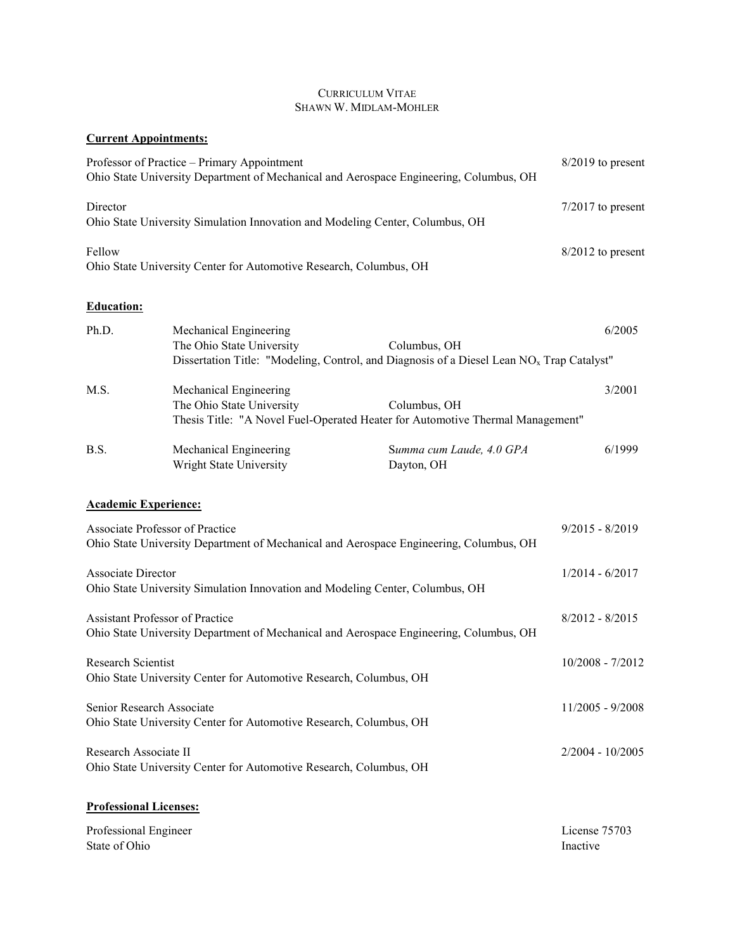# CURRICULUM VITAE SHAWN W. MIDLAM-MOHLER

# **Current Appointments:**

|                                        | Professor of Practice – Primary Appointment<br>Ohio State University Department of Mechanical and Aerospace Engineering, Columbus, OH |                                                                                                                       | $8/2019$ to present       |
|----------------------------------------|---------------------------------------------------------------------------------------------------------------------------------------|-----------------------------------------------------------------------------------------------------------------------|---------------------------|
| Director                               | Ohio State University Simulation Innovation and Modeling Center, Columbus, OH                                                         |                                                                                                                       | $7/2017$ to present       |
| Fellow                                 | Ohio State University Center for Automotive Research, Columbus, OH                                                                    |                                                                                                                       | $8/2012$ to present       |
| <b>Education:</b>                      |                                                                                                                                       |                                                                                                                       |                           |
| Ph.D.                                  | Mechanical Engineering<br>The Ohio State University                                                                                   | Columbus, OH<br>Dissertation Title: "Modeling, Control, and Diagnosis of a Diesel Lean NO <sub>x</sub> Trap Catalyst" | 6/2005                    |
| M.S.                                   | Mechanical Engineering<br>The Ohio State University                                                                                   | Columbus, OH<br>Thesis Title: "A Novel Fuel-Operated Heater for Automotive Thermal Management"                        | 3/2001                    |
| B.S.                                   | Mechanical Engineering<br>Wright State University                                                                                     | Summa cum Laude, 4.0 GPA<br>Dayton, OH                                                                                | 6/1999                    |
|                                        | <b>Academic Experience:</b>                                                                                                           |                                                                                                                       |                           |
|                                        | Associate Professor of Practice                                                                                                       | Ohio State University Department of Mechanical and Aerospace Engineering, Columbus, OH                                | $9/2015 - 8/2019$         |
| Associate Director                     | Ohio State University Simulation Innovation and Modeling Center, Columbus, OH                                                         |                                                                                                                       | $1/2014 - 6/2017$         |
|                                        | Assistant Professor of Practice<br>Ohio State University Department of Mechanical and Aerospace Engineering, Columbus, OH             |                                                                                                                       | $8/2012 - 8/2015$         |
| Research Scientist                     | Ohio State University Center for Automotive Research, Columbus, OH                                                                    |                                                                                                                       | 10/2008 - 7/2012          |
|                                        | Senior Research Associate<br>Ohio State University Center for Automotive Research, Columbus, OH                                       |                                                                                                                       | 11/2005 - 9/2008          |
| Research Associate II                  | Ohio State University Center for Automotive Research, Columbus, OH                                                                    |                                                                                                                       | $2/2004 - 10/2005$        |
|                                        | <b>Professional Licenses:</b>                                                                                                         |                                                                                                                       |                           |
| Professional Engineer<br>State of Ohio |                                                                                                                                       |                                                                                                                       | License 75703<br>Inactive |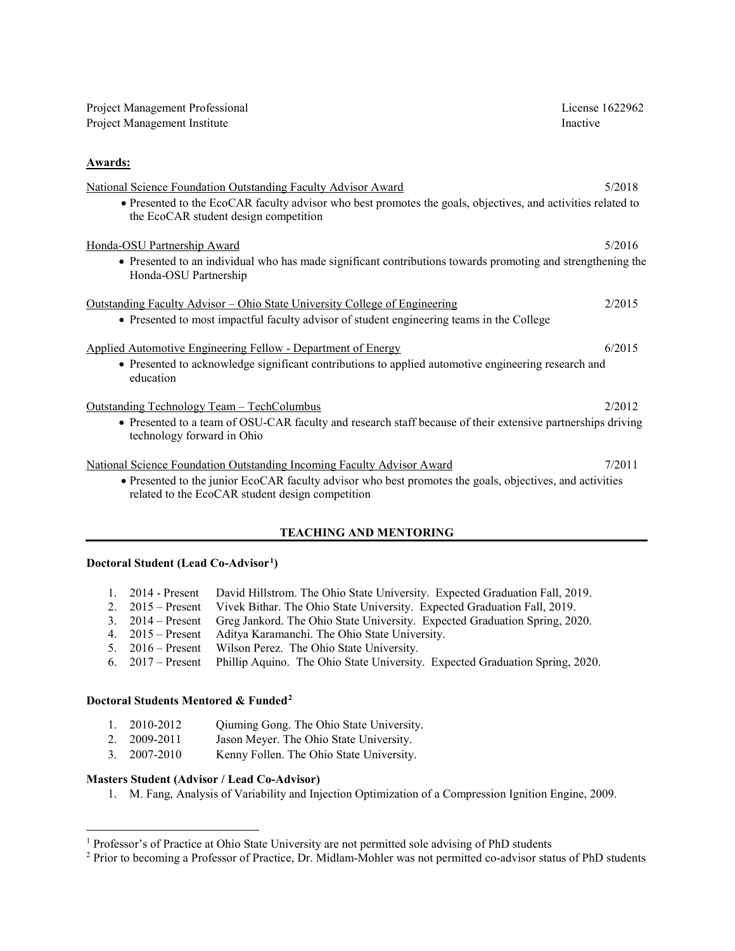| Project Management Professional<br>Project Management Institute                                                                                                                                                                        | License 1622962<br>Inactive |
|----------------------------------------------------------------------------------------------------------------------------------------------------------------------------------------------------------------------------------------|-----------------------------|
| <b>Awards:</b>                                                                                                                                                                                                                         |                             |
| National Science Foundation Outstanding Faculty Advisor Award<br>• Presented to the EcoCAR faculty advisor who best promotes the goals, objectives, and activities related to<br>the EcoCAR student design competition                 | 5/2018                      |
| Honda-OSU Partnership Award<br>• Presented to an individual who has made significant contributions towards promoting and strengthening the<br>Honda-OSU Partnership                                                                    | 5/2016                      |
| <u> Outstanding Faculty Advisor – Ohio State University College of Engineering</u><br>• Presented to most impactful faculty advisor of student engineering teams in the College                                                        | 2/2015                      |
| <b>Applied Automotive Engineering Fellow - Department of Energy</b><br>• Presented to acknowledge significant contributions to applied automotive engineering research and<br>education                                                | 6/2015                      |
| Outstanding Technology Team - TechColumbus<br>• Presented to a team of OSU-CAR faculty and research staff because of their extensive partnerships driving<br>technology forward in Ohio                                                | 2/2012                      |
| National Science Foundation Outstanding Incoming Faculty Advisor Award<br>• Presented to the junior EcoCAR faculty advisor who best promotes the goals, objectives, and activities<br>related to the EcoCAR student design competition | 7/2011                      |

# **TEACHING AND MENTORING**

#### **Doctoral Student (Lead Co-Advisor[1](#page-1-0) )**

|  |  | 1. 2014 - Present David Hillstrom. The Ohio State University. Expected Graduation Fall, 2019. |  |  |  |  |  |
|--|--|-----------------------------------------------------------------------------------------------|--|--|--|--|--|
|--|--|-----------------------------------------------------------------------------------------------|--|--|--|--|--|

- 2. 2015 Present Vivek Bithar. The Ohio State University. Expected Graduation Fall, 2019.<br>3. 2014 Present Greg Jankord. The Ohio State University. Expected Graduation Spring, 20
- 3. 2014 Present Greg Jankord. The Ohio State University. Expected Graduation Spring, 2020.
- Aditya Karamanchi. The Ohio State University.
- 5. 2016 Present Wilson Perez. The Ohio State University.<br>6. 2017 Present Phillip Aquino. The Ohio State University.
- Phillip Aquino. The Ohio State University. Expected Graduation Spring, 2020.

#### **Doctoral Students Mentored & Funded[2](#page-1-1)**

- 1. 2010-2012 Qiuming Gong. The Ohio State University.
- 2. 2009-2011 Jason Meyer. The Ohio State University.
- 3. 2007-2010 Kenny Follen. The Ohio State University.

# **Masters Student (Advisor / Lead Co-Advisor)**

l

1. M. Fang, Analysis of Variability and Injection Optimization of a Compression Ignition Engine, 2009.

<span id="page-1-0"></span><sup>&</sup>lt;sup>1</sup> Professor's of Practice at Ohio State University are not permitted sole advising of PhD students

<span id="page-1-1"></span><sup>&</sup>lt;sup>2</sup> Prior to becoming a Professor of Practice, Dr. Midlam-Mohler was not permitted co-advisor status of PhD students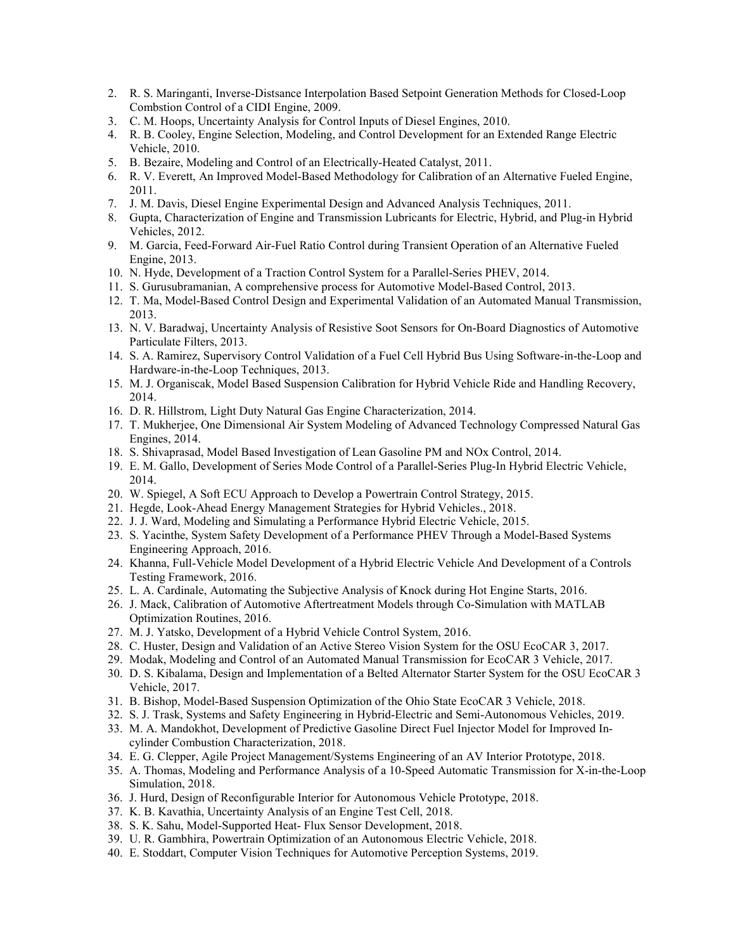- 2. R. S. Maringanti, Inverse-Distsance Interpolation Based Setpoint Generation Methods for Closed-Loop Combstion Control of a CIDI Engine, 2009.
- 3. C. M. Hoops, Uncertainty Analysis for Control Inputs of Diesel Engines, 2010.
- 4. R. B. Cooley, Engine Selection, Modeling, and Control Development for an Extended Range Electric Vehicle, 2010.
- 5. B. Bezaire, Modeling and Control of an Electrically-Heated Catalyst, 2011.
- 6. R. V. Everett, An Improved Model-Based Methodology for Calibration of an Alternative Fueled Engine, 2011.
- 7. J. M. Davis, Diesel Engine Experimental Design and Advanced Analysis Techniques, 2011.
- 8. Gupta, Characterization of Engine and Transmission Lubricants for Electric, Hybrid, and Plug-in Hybrid Vehicles, 2012.
- 9. M. Garcia, Feed-Forward Air-Fuel Ratio Control during Transient Operation of an Alternative Fueled Engine, 2013.
- 10. N. Hyde, Development of a Traction Control System for a Parallel-Series PHEV, 2014.
- 11. S. Gurusubramanian, A comprehensive process for Automotive Model-Based Control, 2013.
- 12. T. Ma, Model-Based Control Design and Experimental Validation of an Automated Manual Transmission, 2013.
- 13. N. V. Baradwaj, Uncertainty Analysis of Resistive Soot Sensors for On-Board Diagnostics of Automotive Particulate Filters, 2013.
- 14. S. A. Ramirez, Supervisory Control Validation of a Fuel Cell Hybrid Bus Using Software-in-the-Loop and Hardware-in-the-Loop Techniques, 2013.
- 15. M. J. Organiscak, Model Based Suspension Calibration for Hybrid Vehicle Ride and Handling Recovery, 2014.
- 16. D. R. Hillstrom, Light Duty Natural Gas Engine Characterization, 2014.
- 17. T. Mukherjee, One Dimensional Air System Modeling of Advanced Technology Compressed Natural Gas Engines, 2014.
- 18. S. Shivaprasad, Model Based Investigation of Lean Gasoline PM and NOx Control, 2014.
- 19. E. M. Gallo, Development of Series Mode Control of a Parallel-Series Plug-In Hybrid Electric Vehicle, 2014.
- 20. W. Spiegel, A Soft ECU Approach to Develop a Powertrain Control Strategy, 2015.
- 21. Hegde, Look-Ahead Energy Management Strategies for Hybrid Vehicles., 2018.
- 22. J. J. Ward, Modeling and Simulating a Performance Hybrid Electric Vehicle, 2015.
- 23. S. Yacinthe, System Safety Development of a Performance PHEV Through a Model-Based Systems Engineering Approach, 2016.
- 24. Khanna, Full-Vehicle Model Development of a Hybrid Electric Vehicle And Development of a Controls Testing Framework, 2016.
- 25. L. A. Cardinale, Automating the Subjective Analysis of Knock during Hot Engine Starts, 2016.
- 26. J. Mack, Calibration of Automotive Aftertreatment Models through Co-Simulation with MATLAB Optimization Routines, 2016.
- 27. M. J. Yatsko, Development of a Hybrid Vehicle Control System, 2016.
- 28. C. Huster, Design and Validation of an Active Stereo Vision System for the OSU EcoCAR 3, 2017.
- 29. Modak, Modeling and Control of an Automated Manual Transmission for EcoCAR 3 Vehicle, 2017.
- 30. D. S. Kibalama, Design and Implementation of a Belted Alternator Starter System for the OSU EcoCAR 3 Vehicle, 2017.
- 31. B. Bishop, Model-Based Suspension Optimization of the Ohio State EcoCAR 3 Vehicle, 2018.
- 32. S. J. Trask, Systems and Safety Engineering in Hybrid-Electric and Semi-Autonomous Vehicles, 2019.
- 33. M. A. Mandokhot, Development of Predictive Gasoline Direct Fuel Injector Model for Improved Incylinder Combustion Characterization, 2018.
- 34. E. G. Clepper, Agile Project Management/Systems Engineering of an AV Interior Prototype, 2018.
- 35. A. Thomas, Modeling and Performance Analysis of a 10-Speed Automatic Transmission for X-in-the-Loop Simulation, 2018.
- 36. J. Hurd, Design of Reconfigurable Interior for Autonomous Vehicle Prototype, 2018.
- 37. K. B. Kavathia, Uncertainty Analysis of an Engine Test Cell, 2018.
- 38. S. K. Sahu, Model-Supported Heat- Flux Sensor Development, 2018.
- 39. U. R. Gambhira, Powertrain Optimization of an Autonomous Electric Vehicle, 2018.
- 40. E. Stoddart, Computer Vision Techniques for Automotive Perception Systems, 2019.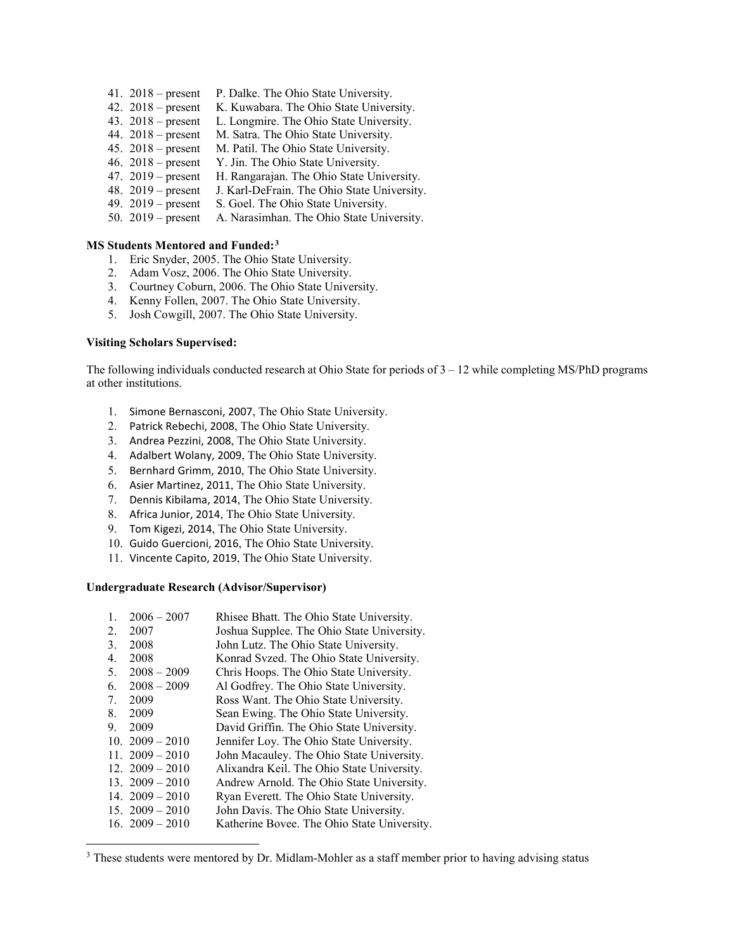- 41. 2018 present P. Dalke. The Ohio State University.
- 42. 2018 present K. Kuwabara. The Ohio State University.
- 43. 2018 present L. Longmire. The Ohio State University.
- 44. 2018 present M. Satra. The Ohio State University.
- 45. 2018 present M. Patil. The Ohio State University.
- 46. 2018 present Y. Jin. The Ohio State University.
- 47. 2019 present H. Rangarajan. The Ohio State University.
- 48. 2019 present J. Karl-DeFrain. The Ohio State University.
- 49. 2019 present S. Goel. The Ohio State University.
- 50. 2019 present A. Narasimhan. The Ohio State University.

#### **MS Students Mentored and Funded:[3](#page-3-0)**

- 1. Eric Snyder, 2005. The Ohio State University.
- 2. Adam Vosz, 2006. The Ohio State University.
- 3. Courtney Coburn, 2006. The Ohio State University.
- 4. Kenny Follen, 2007. The Ohio State University.
- 5. Josh Cowgill, 2007. The Ohio State University.

#### **Visiting Scholars Supervised:**

The following individuals conducted research at Ohio State for periods of  $3 - 12$  while completing MS/PhD programs at other institutions.

- 1. Simone Bernasconi, 2007, The Ohio State University.
- 2. Patrick Rebechi, 2008, The Ohio State University.
- 3. Andrea Pezzini, 2008, The Ohio State University.
- 4. Adalbert Wolany, 2009, The Ohio State University.
- 5. Bernhard Grimm, 2010, The Ohio State University.
- 6. Asier Martinez, 2011, The Ohio State University.
- 7. Dennis Kibilama, 2014, The Ohio State University.
- 8. Africa Junior, 2014, The Ohio State University.
- 9. Tom Kigezi, 2014, The Ohio State University.
- 10. Guido Guercioni, 2016, The Ohio State University.
- 11. Vincente Capito, 2019, The Ohio State University.

#### **Undergraduate Research (Advisor/Supervisor)**

l

| 1. | $2006 - 2007$     | Rhisee Bhatt. The Ohio State University.    |
|----|-------------------|---------------------------------------------|
| 2. | 2007              | Joshua Supplee. The Ohio State University.  |
| 3. | 2008              | John Lutz. The Ohio State University.       |
| 4. | 2008              | Konrad Svzed. The Ohio State University.    |
| 5. | $2008 - 2009$     | Chris Hoops. The Ohio State University.     |
| 6. | $2008 - 2009$     | Al Godfrey. The Ohio State University.      |
| 7. | 2009              | Ross Want. The Ohio State University.       |
| 8. | 2009              | Sean Ewing. The Ohio State University.      |
| 9. | 2009              | David Griffin. The Ohio State University.   |
|    | 10. $2009 - 2010$ | Jennifer Loy. The Ohio State University.    |
|    | 11. $2009 - 2010$ | John Macauley. The Ohio State University.   |
|    | 12. $2009 - 2010$ | Alixandra Keil. The Ohio State University.  |
|    | 13. $2009 - 2010$ | Andrew Arnold. The Ohio State University.   |
|    | 14. $2009 - 2010$ | Ryan Everett. The Ohio State University.    |
|    | 15. $2009 - 2010$ | John Davis. The Ohio State University.      |
|    | 16. $2009 - 2010$ | Katherine Bovee. The Ohio State University. |
|    |                   |                                             |

<span id="page-3-0"></span><sup>&</sup>lt;sup>3</sup> These students were mentored by Dr. Midlam-Mohler as a staff member prior to having advising status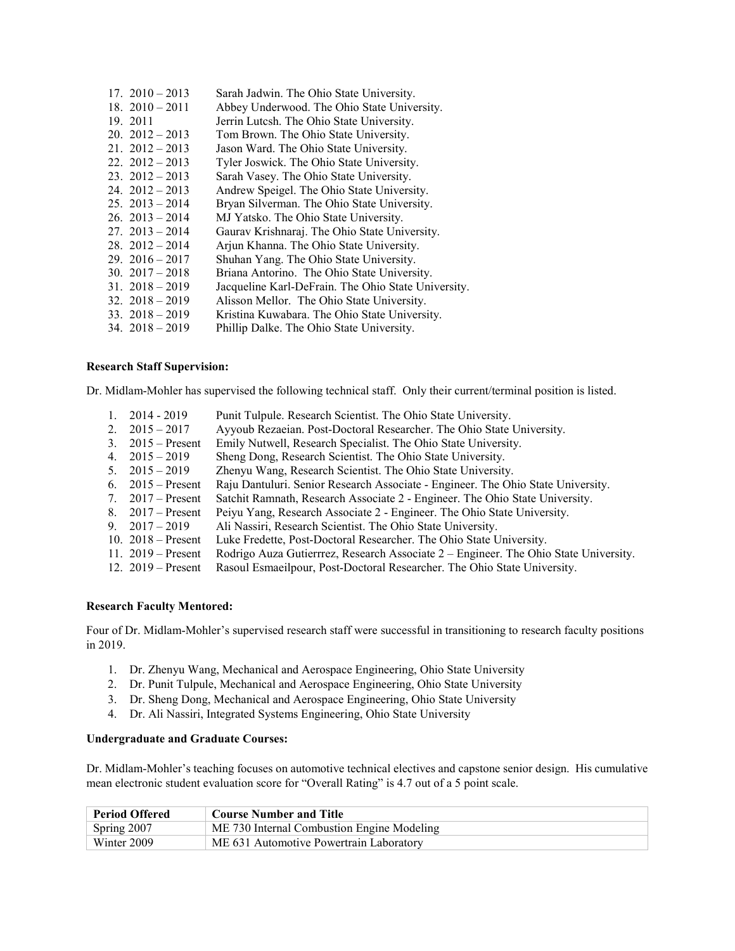| $17. \ 2010 - 2013$   | Sarah Jadwin. The Ohio State University.            |
|-----------------------|-----------------------------------------------------|
| 18. $2010 - 2011$     | Abbey Underwood. The Ohio State University.         |
| 19. 2011              | Jerrin Lutcsh. The Ohio State University.           |
| $20.2012 - 2013$      | Tom Brown. The Ohio State University.               |
| 21. $2012 - 2013$     | Jason Ward. The Ohio State University.              |
| $22. \ \ 2012 - 2013$ | Tyler Joswick. The Ohio State University.           |
| $23. \ \ 2012 - 2013$ | Sarah Vasey. The Ohio State University.             |
| 24. $2012 - 2013$     | Andrew Speigel. The Ohio State University.          |
| $25. \ \ 2013 - 2014$ | Bryan Silverman. The Ohio State University.         |
| $26. \ \ 2013 - 2014$ | MJ Yatsko. The Ohio State University.               |
| $27. \ \ 2013 - 2014$ | Gaurav Krishnaraj. The Ohio State University.       |
| $28. \ \ 2012 - 2014$ | Arjun Khanna. The Ohio State University.            |
| $29. \ \ 2016 - 2017$ | Shuhan Yang. The Ohio State University.             |
| 30. $2017 - 2018$     | Briana Antorino. The Ohio State University.         |
| $31. \ \ 2018 - 2019$ | Jacqueline Karl-DeFrain. The Ohio State University. |
| $32. \ \ 2018 - 2019$ | Alisson Mellor. The Ohio State University.          |
| 33. $2018 - 2019$     | Kristina Kuwabara. The Ohio State University.       |
| $34. \ \ 2018 - 2019$ | Phillip Dalke. The Ohio State University.           |

#### **Research Staff Supervision:**

Dr. Midlam-Mohler has supervised the following technical staff. Only their current/terminal position is listed.

| $2014 - 2019$        | Punit Tulpule. Research Scientist. The Ohio State University.                        |
|----------------------|--------------------------------------------------------------------------------------|
| 2. $2015 - 2017$     | Ayyoub Rezaeian. Post-Doctoral Researcher. The Ohio State University.                |
| 3. $2015 -$ Present  | Emily Nutwell, Research Specialist. The Ohio State University.                       |
| 4. $2015 - 2019$     | Sheng Dong, Research Scientist. The Ohio State University.                           |
| 5. $2015 - 2019$     | Zhenyu Wang, Research Scientist. The Ohio State University.                          |
| 6. $2015 -$ Present  | Raju Dantuluri. Senior Research Associate - Engineer. The Ohio State University.     |
| 7. $2017 -$ Present  | Satchit Ramnath, Research Associate 2 - Engineer. The Ohio State University.         |
| 8. $2017 -$ Present  | Peiyu Yang, Research Associate 2 - Engineer. The Ohio State University.              |
| 9. $2017 - 2019$     | Ali Nassiri, Research Scientist. The Ohio State University.                          |
| 10. $2018 -$ Present | Luke Fredette, Post-Doctoral Researcher. The Ohio State University.                  |
| 11. $2019 -$ Present | Rodrigo Auza Gutierrrez, Research Associate 2 – Engineer. The Ohio State University. |
| 12. $2019 -$ Present | Rasoul Esmaeilpour, Post-Doctoral Researcher. The Ohio State University.             |
|                      |                                                                                      |

#### **Research Faculty Mentored:**

Four of Dr. Midlam-Mohler's supervised research staff were successful in transitioning to research faculty positions in 2019.

- 1. Dr. Zhenyu Wang, Mechanical and Aerospace Engineering, Ohio State University
- 2. Dr. Punit Tulpule, Mechanical and Aerospace Engineering, Ohio State University
- 3. Dr. Sheng Dong, Mechanical and Aerospace Engineering, Ohio State University
- 4. Dr. Ali Nassiri, Integrated Systems Engineering, Ohio State University

# **Undergraduate and Graduate Courses:**

Dr. Midlam-Mohler's teaching focuses on automotive technical electives and capstone senior design. His cumulative mean electronic student evaluation score for "Overall Rating" is 4.7 out of a 5 point scale.

| <b>Period Offered</b> | <b>Course Number and Title</b>             |
|-----------------------|--------------------------------------------|
| Spring 2007           | ME 730 Internal Combustion Engine Modeling |
| Winter 2009           | ME 631 Automotive Powertrain Laboratory    |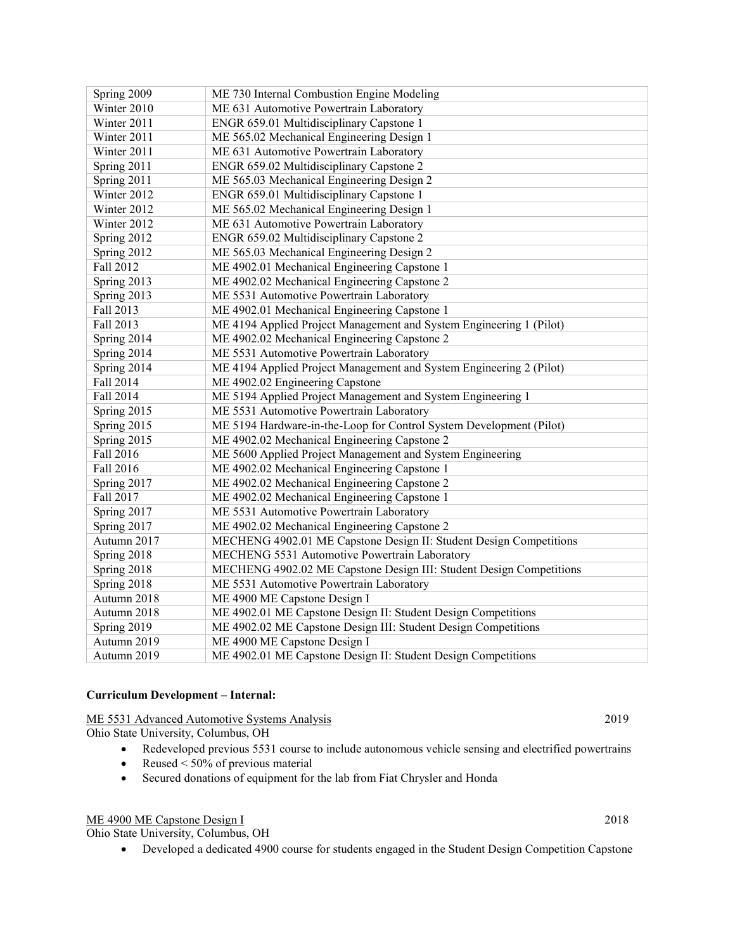| Spring 2009      | ME 730 Internal Combustion Engine Modeling                          |
|------------------|---------------------------------------------------------------------|
| Winter 2010      | ME 631 Automotive Powertrain Laboratory                             |
| Winter 2011      | ENGR 659.01 Multidisciplinary Capstone 1                            |
| Winter 2011      | ME 565.02 Mechanical Engineering Design 1                           |
| Winter 2011      | ME 631 Automotive Powertrain Laboratory                             |
| Spring 2011      | ENGR 659.02 Multidisciplinary Capstone 2                            |
| Spring 2011      | ME 565.03 Mechanical Engineering Design 2                           |
| Winter 2012      | ENGR 659.01 Multidisciplinary Capstone 1                            |
| Winter 2012      | ME 565.02 Mechanical Engineering Design 1                           |
| Winter 2012      | ME 631 Automotive Powertrain Laboratory                             |
| Spring 2012      | ENGR 659.02 Multidisciplinary Capstone 2                            |
| Spring 2012      | ME 565.03 Mechanical Engineering Design 2                           |
| <b>Fall 2012</b> | ME 4902.01 Mechanical Engineering Capstone 1                        |
| Spring 2013      | ME 4902.02 Mechanical Engineering Capstone 2                        |
| Spring 2013      | ME 5531 Automotive Powertrain Laboratory                            |
| Fall 2013        | ME 4902.01 Mechanical Engineering Capstone 1                        |
| Fall 2013        | ME 4194 Applied Project Management and System Engineering 1 (Pilot) |
| Spring 2014      | ME 4902.02 Mechanical Engineering Capstone 2                        |
| Spring 2014      | ME 5531 Automotive Powertrain Laboratory                            |
| Spring 2014      | ME 4194 Applied Project Management and System Engineering 2 (Pilot) |
| Fall 2014        | ME 4902.02 Engineering Capstone                                     |
| Fall 2014        | ME 5194 Applied Project Management and System Engineering 1         |
| Spring 2015      | ME 5531 Automotive Powertrain Laboratory                            |
| Spring 2015      | ME 5194 Hardware-in-the-Loop for Control System Development (Pilot) |
| Spring 2015      | ME 4902.02 Mechanical Engineering Capstone 2                        |
| Fall 2016        | ME 5600 Applied Project Management and System Engineering           |
| Fall 2016        | ME 4902.02 Mechanical Engineering Capstone 1                        |
| Spring 2017      | ME 4902.02 Mechanical Engineering Capstone 2                        |
| Fall 2017        | ME 4902.02 Mechanical Engineering Capstone 1                        |
| Spring 2017      | ME 5531 Automotive Powertrain Laboratory                            |
| Spring 2017      | ME 4902.02 Mechanical Engineering Capstone 2                        |
| Autumn 2017      | MECHENG 4902.01 ME Capstone Design II: Student Design Competitions  |
| Spring 2018      | MECHENG 5531 Automotive Powertrain Laboratory                       |
| Spring 2018      | MECHENG 4902.02 ME Capstone Design III: Student Design Competitions |
| Spring 2018      | ME 5531 Automotive Powertrain Laboratory                            |
| Autumn 2018      | ME 4900 ME Capstone Design I                                        |
| Autumn 2018      | ME 4902.01 ME Capstone Design II: Student Design Competitions       |
| Spring 2019      | ME 4902.02 ME Capstone Design III: Student Design Competitions      |
| Autumn 2019      | ME 4900 ME Capstone Design I                                        |
| Autumn 2019      | ME 4902.01 ME Capstone Design II: Student Design Competitions       |

#### **Curriculum Development – Internal:**

ME 5531 Advanced Automotive Systems Analysis 2019

Ohio State University, Columbus, OH

- Redeveloped previous 5531 course to include autonomous vehicle sensing and electrified powertrains
- Reused  $< 50\%$  of previous material
- Secured donations of equipment for the lab from Fiat Chrysler and Honda

# ME 4900 ME Capstone Design I 2018

Ohio State University, Columbus, OH

• Developed a dedicated 4900 course for students engaged in the Student Design Competition Capstone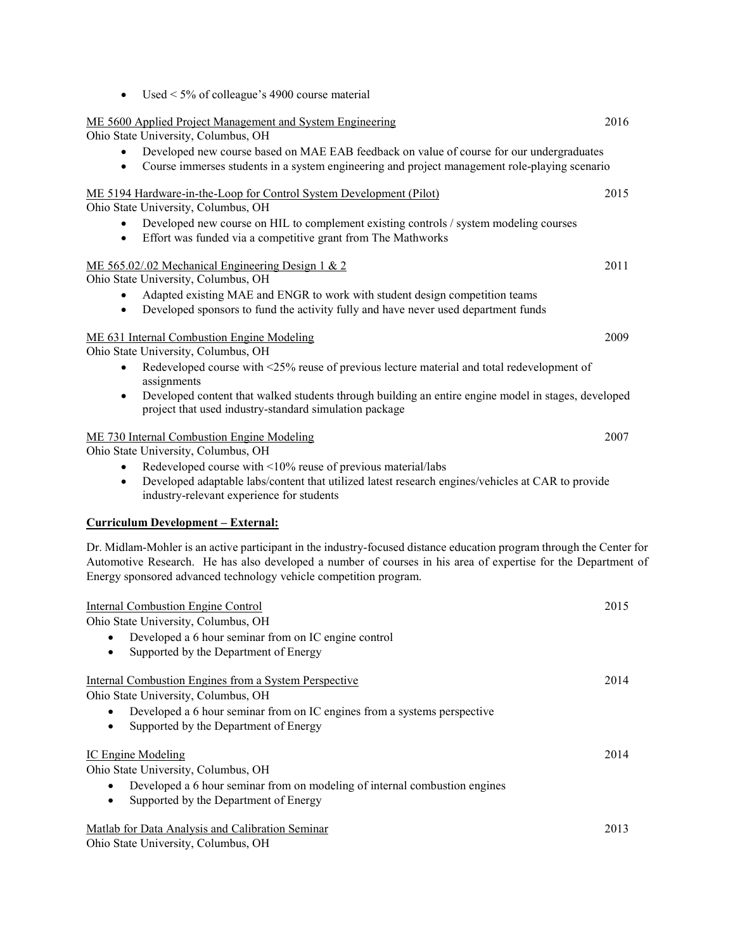| ME 5600 Applied Project Management and System Engineering                                                              | 2016 |
|------------------------------------------------------------------------------------------------------------------------|------|
| Ohio State University, Columbus, OH                                                                                    |      |
| Developed new course based on MAE EAB feedback on value of course for our undergraduates<br>$\bullet$                  |      |
| Course immerses students in a system engineering and project management role-playing scenario<br>$\bullet$             |      |
| ME 5194 Hardware-in-the-Loop for Control System Development (Pilot)                                                    | 2015 |
| Ohio State University, Columbus, OH                                                                                    |      |
| Developed new course on HIL to complement existing controls / system modeling courses<br>٠                             |      |
| Effort was funded via a competitive grant from The Mathworks<br>$\bullet$                                              |      |
| ME 565.02/.02 Mechanical Engineering Design 1 & 2                                                                      | 2011 |
| Ohio State University, Columbus, OH                                                                                    |      |
| Adapted existing MAE and ENGR to work with student design competition teams                                            |      |
| Developed sponsors to fund the activity fully and have never used department funds<br>$\bullet$                        |      |
| ME 631 Internal Combustion Engine Modeling                                                                             | 2009 |
| Ohio State University, Columbus, OH                                                                                    |      |
| Redeveloped course with <25% reuse of previous lecture material and total redevelopment of<br>$\bullet$<br>assignments |      |
| Developed content that walked students through building an entire engine model in stages, developed<br>$\bullet$       |      |
| project that used industry-standard simulation package                                                                 |      |
| ME 730 Internal Combustion Engine Modeling                                                                             | 2007 |
| Ohio State University, Columbus, OH                                                                                    |      |
| Redeveloped course with <10% reuse of previous material/labs<br>٠                                                      |      |
| Developed adaptable labs/content that utilized latest research engines/vehicles at CAR to provide<br>$\bullet$         |      |
| industry-relevant experience for students                                                                              |      |
| <u> Curriculum Development – External:</u>                                                                             |      |
| Dr. Midlam-Mohler is an active participant in the industry-focused distance education program through the Center for   |      |
| Automotive Research. He has also developed a number of courses in his area of expertise for the Department of          |      |
| Energy sponsored advanced technology vehicle competition program.                                                      |      |
|                                                                                                                        |      |
| <b>Internal Combustion Engine Control</b>                                                                              | 2015 |
| Ohio State University, Columbus, OH                                                                                    |      |
| Developed a 6 hour seminar from on IC engine control<br>$\bullet$                                                      |      |
| Supported by the Department of Energy                                                                                  |      |
| Internal Combustion Engines from a System Perspective                                                                  | 2014 |
| Ohio State University, Columbus, OH                                                                                    |      |
| Developed a 6 hour seminar from on IC engines from a systems perspective                                               |      |
| Supported by the Department of Energy<br>٠                                                                             |      |
| <b>IC Engine Modeling</b>                                                                                              | 2014 |
| Ohio State University, Columbus, OH                                                                                    |      |
| Developed a 6 hour seminar from on modeling of internal combustion engines<br>٠                                        |      |
| Supported by the Department of Energy<br>$\bullet$                                                                     |      |
|                                                                                                                        |      |
| Matlab for Data Analysis and Calibration Seminar                                                                       | 2013 |
| Ohio State University, Columbus, OH                                                                                    |      |

• Used  $\leq$  5% of colleague's 4900 course material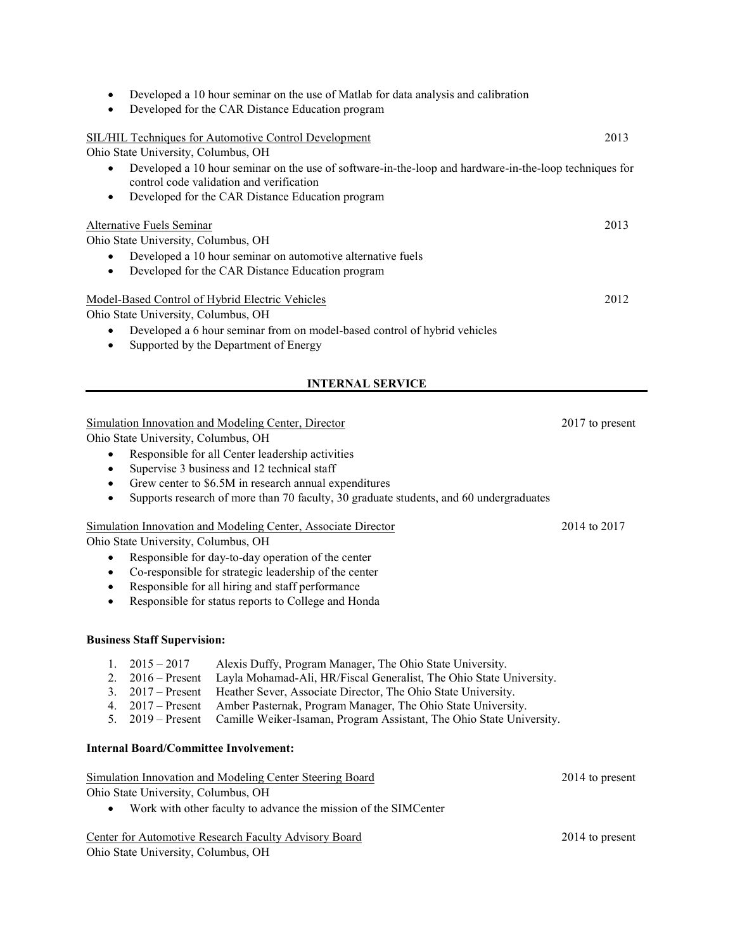| Developed a 10 hour seminar on the use of Matlab for data analysis and calibration<br>$\bullet$                                                                 |      |
|-----------------------------------------------------------------------------------------------------------------------------------------------------------------|------|
| Developed for the CAR Distance Education program<br>$\bullet$                                                                                                   |      |
|                                                                                                                                                                 |      |
| SIL/HIL Techniques for Automotive Control Development                                                                                                           | 2013 |
| Ohio State University, Columbus, OH                                                                                                                             |      |
| Developed a 10 hour seminar on the use of software-in-the-loop and hardware-in-the-loop techniques for<br>$\bullet$<br>control code validation and verification |      |
| Developed for the CAR Distance Education program<br>$\bullet$                                                                                                   |      |
|                                                                                                                                                                 |      |
| Alternative Fuels Seminar                                                                                                                                       | 2013 |
| Ohio State University, Columbus, OH                                                                                                                             |      |
| Developed a 10 hour seminar on automotive alternative fuels<br>$\bullet$                                                                                        |      |
| Developed for the CAR Distance Education program<br>$\bullet$                                                                                                   |      |
|                                                                                                                                                                 |      |
| Model-Based Control of Hybrid Electric Vehicles                                                                                                                 | 2012 |
| Ohio State University, Columbus, OH                                                                                                                             |      |
| Developed a 6 hour seminar from on model-based control of hybrid vehicles<br>$\bullet$                                                                          |      |
| Supported by the Department of Energy<br>$\bullet$                                                                                                              |      |
|                                                                                                                                                                 |      |
|                                                                                                                                                                 |      |

# **INTERNAL SERVICE**

# Simulation Innovation and Modeling Center, Director 2017 to present

Ohio State University, Columbus, OH

- Responsible for all Center leadership activities
- Supervise 3 business and 12 technical staff
- Grew center to \$6.5M in research annual expenditures
- Supports research of more than 70 faculty, 30 graduate students, and 60 undergraduates

# Simulation Innovation and Modeling Center, Associate Director 2014 to 2017

Ohio State University, Columbus, OH

- Responsible for day-to-day operation of the center
- Co-responsible for strategic leadership of the center
- Responsible for all hiring and staff performance
- Responsible for status reports to College and Honda

# **Business Staff Supervision:**

- 1. 2015 2017 Alexis Duffy, Program Manager, The Ohio State University.<br>2. 2016 Present Layla Mohamad-Ali, HR/Fiscal Generalist, The Ohio State U
- Layla Mohamad-Ali, HR/Fiscal Generalist, The Ohio State University.
- 3. 2017 Present Heather Sever, Associate Director, The Ohio State University.
- 4. 2017 Present Amber Pasternak, Program Manager, The Ohio State University.
- 5. 2019 Present Camille Weiker-Isaman, Program Assistant, The Ohio State University.

# **Internal Board/Committee Involvement:**

# Simulation Innovation and Modeling Center Steering Board 2014 to present

Ohio State University, Columbus, OH

• Work with other faculty to advance the mission of the SIMCenter

# Center for Automotive Research Faculty Advisory Board 2014 to present

Ohio State University, Columbus, OH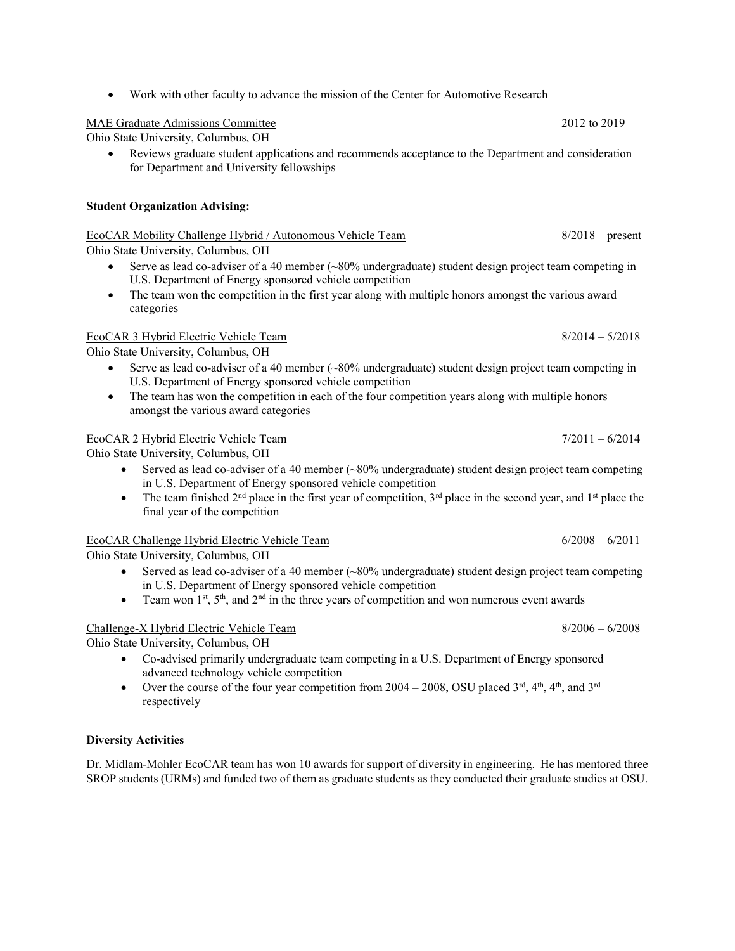• Work with other faculty to advance the mission of the Center for Automotive Research

# MAE Graduate Admissions Committee 2012 to 2019

Ohio State University, Columbus, OH

• Reviews graduate student applications and recommends acceptance to the Department and consideration for Department and University fellowships

# **Student Organization Advising:**

# Ohio State University, Columbus, OH • Serve as lead co-adviser of a 40 member  $(\sim 80\%$  undergraduate) student design project team competing in U.S. Department of Energy sponsored vehicle competition

• The team won the competition in the first year along with multiple honors amongst the various award categories

# EcoCAR 3 Hybrid Electric Vehicle Team 8/2014 – 5/2018

Ohio State University, Columbus, OH

- Serve as lead co-adviser of a 40 member (~80% undergraduate) student design project team competing in U.S. Department of Energy sponsored vehicle competition
- The team has won the competition in each of the four competition years along with multiple honors amongst the various award categories

# EcoCAR 2 Hybrid Electric Vehicle Team 7/2011 – 6/2014

Ohio State University, Columbus, OH

- Served as lead co-adviser of a 40 member (~80% undergraduate) student design project team competing in U.S. Department of Energy sponsored vehicle competition
- The team finished 2<sup>nd</sup> place in the first year of competition,  $3<sup>rd</sup>$  place in the second year, and 1<sup>st</sup> place the final year of the competition

#### EcoCAR Challenge Hybrid Electric Vehicle Team 6/2008 – 6/2011

Ohio State University, Columbus, OH

- Served as lead co-adviser of a 40 member  $(\sim 80\%$  undergraduate) student design project team competing in U.S. Department of Energy sponsored vehicle competition
- Team won  $1^{st}$ ,  $5^{th}$ , and  $2^{nd}$  in the three years of competition and won numerous event awards

# Challenge-X Hybrid Electric Vehicle Team 8/2006 – 6/2008

Ohio State University, Columbus, OH

- Co-advised primarily undergraduate team competing in a U.S. Department of Energy sponsored advanced technology vehicle competition
- Over the course of the four year competition from  $2004 2008$ , OSU placed  $3<sup>rd</sup>$ ,  $4<sup>th</sup>$ ,  $4<sup>th</sup>$ , and  $3<sup>rd</sup>$ respectively

# **Diversity Activities**

Dr. Midlam-Mohler EcoCAR team has won 10 awards for support of diversity in engineering. He has mentored three SROP students (URMs) and funded two of them as graduate students as they conducted their graduate studies at OSU.

EcoCAR Mobility Challenge Hybrid / Autonomous Vehicle Team 8/2018 – present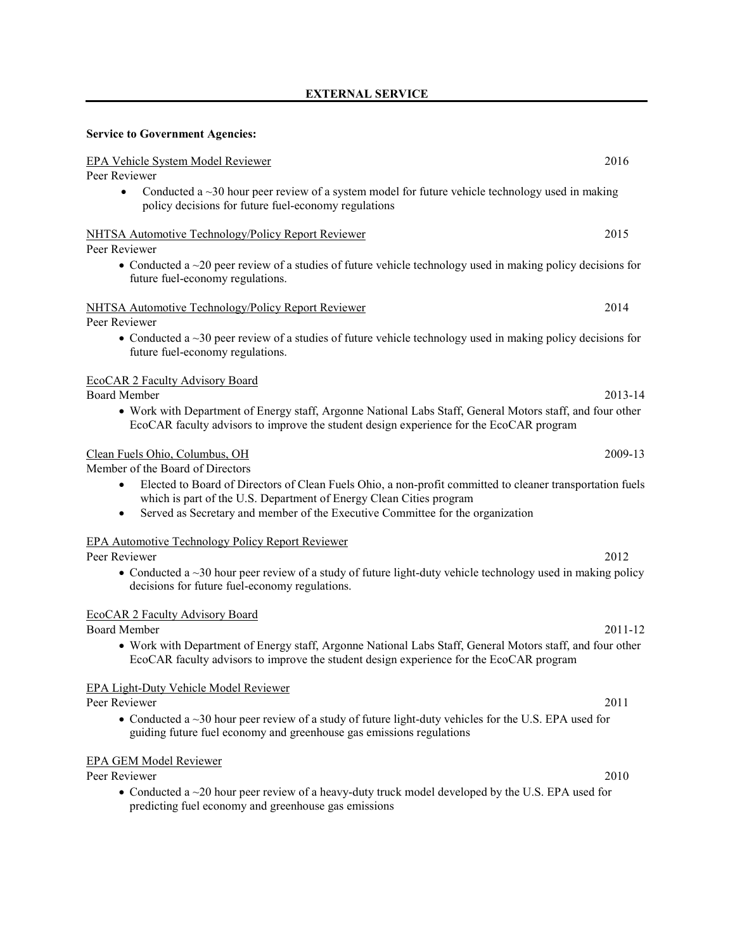# **EXTERNAL SERVICE**

# **Service to Government Agencies:**

| EPA Vehicle System Model Reviewer                                                                                                                                                                                                                                                            | 2016    |
|----------------------------------------------------------------------------------------------------------------------------------------------------------------------------------------------------------------------------------------------------------------------------------------------|---------|
| Peer Reviewer                                                                                                                                                                                                                                                                                |         |
| Conducted a $\sim$ 30 hour peer review of a system model for future vehicle technology used in making<br>$\bullet$<br>policy decisions for future fuel-economy regulations                                                                                                                   |         |
| NHTSA Automotive Technology/Policy Report Reviewer<br>Peer Reviewer                                                                                                                                                                                                                          | 2015    |
| • Conducted a $\sim$ 20 peer review of a studies of future vehicle technology used in making policy decisions for<br>future fuel-economy regulations.                                                                                                                                        |         |
| NHTSA Automotive Technology/Policy Report Reviewer<br>Peer Reviewer                                                                                                                                                                                                                          | 2014    |
| • Conducted a $\sim$ 30 peer review of a studies of future vehicle technology used in making policy decisions for<br>future fuel-economy regulations.                                                                                                                                        |         |
| <b>EcoCAR 2 Faculty Advisory Board</b>                                                                                                                                                                                                                                                       |         |
| <b>Board Member</b>                                                                                                                                                                                                                                                                          | 2013-14 |
| • Work with Department of Energy staff, Argonne National Labs Staff, General Motors staff, and four other<br>EcoCAR faculty advisors to improve the student design experience for the EcoCAR program                                                                                         |         |
| Clean Fuels Ohio, Columbus, OH<br>Member of the Board of Directors                                                                                                                                                                                                                           | 2009-13 |
| Elected to Board of Directors of Clean Fuels Ohio, a non-profit committed to cleaner transportation fuels<br>$\bullet$<br>which is part of the U.S. Department of Energy Clean Cities program<br>Served as Secretary and member of the Executive Committee for the organization<br>$\bullet$ |         |
| <b>EPA Automotive Technology Policy Report Reviewer</b><br>Peer Reviewer                                                                                                                                                                                                                     | 2012    |
| • Conducted a ~30 hour peer review of a study of future light-duty vehicle technology used in making policy<br>decisions for future fuel-economy regulations.                                                                                                                                |         |
| <b>EcoCAR 2 Faculty Advisory Board</b><br><b>Board Member</b>                                                                                                                                                                                                                                | 2011-12 |
| • Work with Department of Energy staff, Argonne National Labs Staff, General Motors staff, and four other<br>EcoCAR faculty advisors to improve the student design experience for the EcoCAR program                                                                                         |         |
| <b>EPA Light-Duty Vehicle Model Reviewer</b>                                                                                                                                                                                                                                                 |         |
| Peer Reviewer                                                                                                                                                                                                                                                                                | 2011    |
| • Conducted a $\sim$ 30 hour peer review of a study of future light-duty vehicles for the U.S. EPA used for<br>guiding future fuel economy and greenhouse gas emissions regulations                                                                                                          |         |
| <b>EPA GEM Model Reviewer</b>                                                                                                                                                                                                                                                                |         |
| Peer Reviewer                                                                                                                                                                                                                                                                                | 2010    |
| • Conducted a $\sim$ 20 hour peer review of a heavy-duty truck model developed by the U.S. EPA used for<br>predicting fuel economy and greenhouse gas emissions                                                                                                                              |         |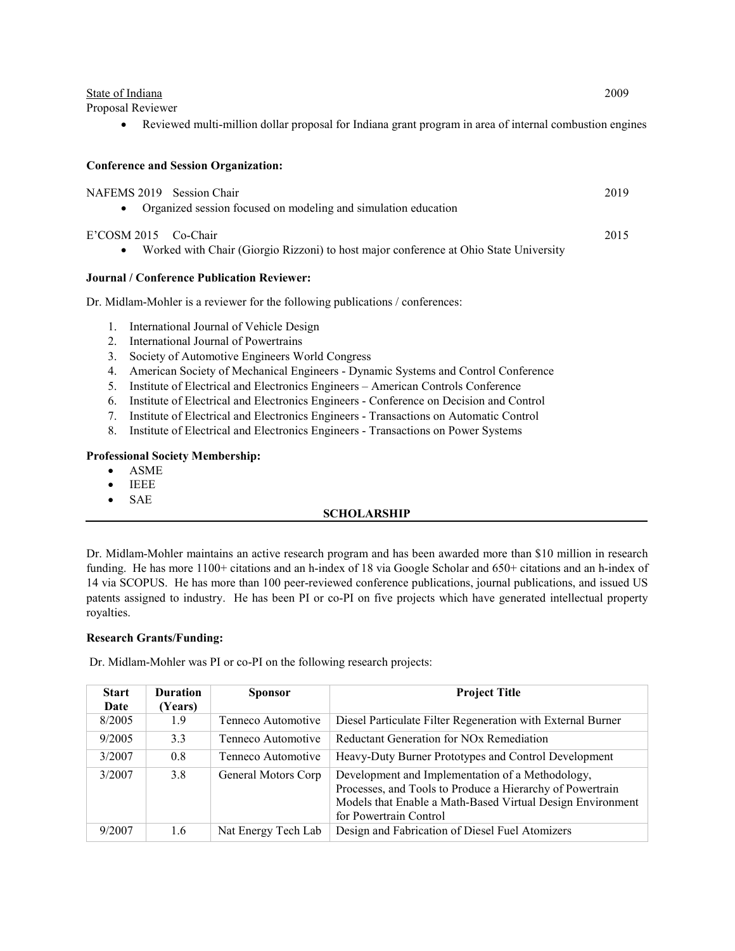| State of Indiana  | 2009 |
|-------------------|------|
| Proposal Reviewer |      |

• Reviewed multi-million dollar proposal for Indiana grant program in area of internal combustion engines

# **Conference and Session Organization:**

| NAFEMS 2019 Session Chair<br>Organized session focused on modeling and simulation education                                | 2019 |
|----------------------------------------------------------------------------------------------------------------------------|------|
| E'COSM 2015 Co-Chair<br>Worked with Chair (Giorgio Rizzoni) to host major conference at Ohio State University<br>$\bullet$ | 2015 |
| Journal / Conference Publication Reviewer:                                                                                 |      |
| Dr. Midlam-Mohler is a reviewer for the following publications / conferences:                                              |      |
| International Journal of Vehicle Design<br>1.                                                                              |      |
| International Journal of Powertrains<br>$2_{1}$                                                                            |      |
| Society of Automotive Engineers World Congress<br>3.                                                                       |      |
| American Society of Mechanical Engineers - Dynamic Systems and Control Conference<br>4.                                    |      |
| Institute of Electrical and Electronics Engineers – American Controls Conference<br>5.                                     |      |
|                                                                                                                            |      |

- 6. Institute of Electrical and Electronics Engineers Conference on Decision and Control
- 7. Institute of Electrical and Electronics Engineers Transactions on Automatic Control
- 8. Institute of Electrical and Electronics Engineers Transactions on Power Systems

# **Professional Society Membership:**

- ASME
- IEEE
- SAE

# **SCHOLARSHIP**

Dr. Midlam-Mohler maintains an active research program and has been awarded more than \$10 million in research funding. He has more 1100+ citations and an h-index of 18 via Google Scholar and 650+ citations and an h-index of 14 via SCOPUS. He has more than 100 peer-reviewed conference publications, journal publications, and issued US patents assigned to industry. He has been PI or co-PI on five projects which have generated intellectual property royalties.

# **Research Grants/Funding:**

Dr. Midlam-Mohler was PI or co-PI on the following research projects:

| <b>Start</b><br>Date | <b>Duration</b><br>(Years) | <b>Sponsor</b>      | <b>Project Title</b>                                                                                                                                                                                  |
|----------------------|----------------------------|---------------------|-------------------------------------------------------------------------------------------------------------------------------------------------------------------------------------------------------|
| 8/2005               | 1.9                        | Tenneco Automotive  | Diesel Particulate Filter Regeneration with External Burner                                                                                                                                           |
| 9/2005               | 3.3                        | Tenneco Automotive  | Reductant Generation for NO <sub>x</sub> Remediation                                                                                                                                                  |
| 3/2007               | 0.8                        | Tenneco Automotive  | Heavy-Duty Burner Prototypes and Control Development                                                                                                                                                  |
| 3/2007               | 3.8                        | General Motors Corp | Development and Implementation of a Methodology,<br>Processes, and Tools to Produce a Hierarchy of Powertrain<br>Models that Enable a Math-Based Virtual Design Environment<br>for Powertrain Control |
| 9/2007               | 1.6                        | Nat Energy Tech Lab | Design and Fabrication of Diesel Fuel Atomizers                                                                                                                                                       |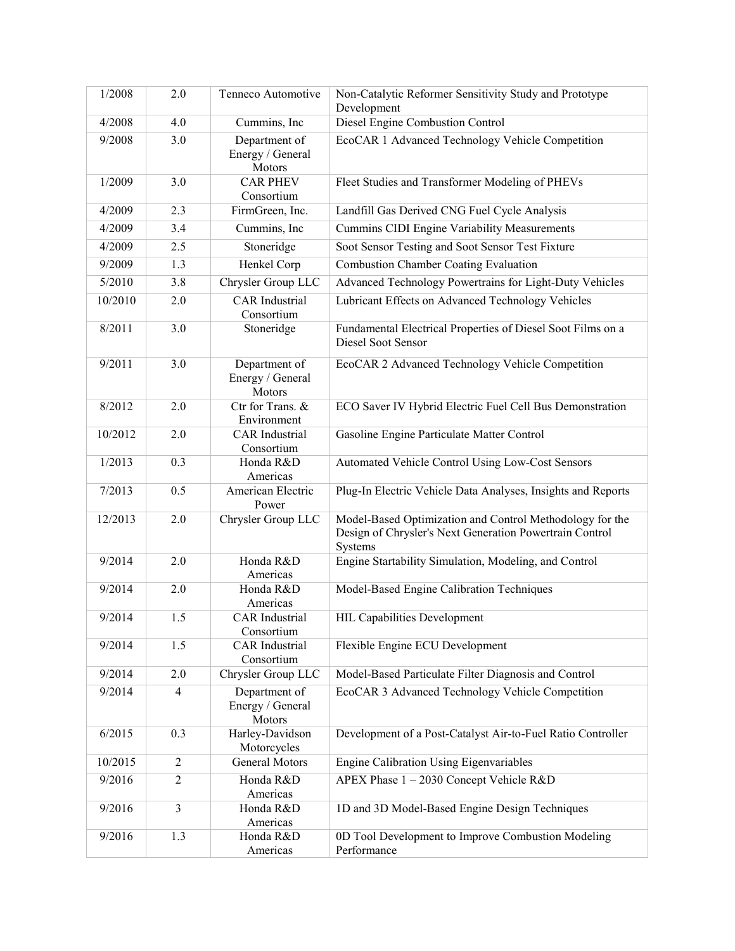| 1/2008           | 2.0        | Tenneco Automotive                          | Non-Catalytic Reformer Sensitivity Study and Prototype                                                                         |
|------------------|------------|---------------------------------------------|--------------------------------------------------------------------------------------------------------------------------------|
| 4/2008           | 4.0        | Cummins, Inc                                | Development<br>Diesel Engine Combustion Control                                                                                |
|                  |            |                                             |                                                                                                                                |
| 9/2008           | 3.0        | Department of<br>Energy / General<br>Motors | EcoCAR 1 Advanced Technology Vehicle Competition                                                                               |
| 1/2009           | 3.0        | <b>CAR PHEV</b><br>Consortium               | Fleet Studies and Transformer Modeling of PHEVs                                                                                |
| $\frac{4}{2009}$ | 2.3        | FirmGreen, Inc.                             | Landfill Gas Derived CNG Fuel Cycle Analysis                                                                                   |
| 4/2009           | 3.4        | Cummins, Inc                                | <b>Cummins CIDI Engine Variability Measurements</b>                                                                            |
| 4/2009           | 2.5        | Stoneridge                                  | Soot Sensor Testing and Soot Sensor Test Fixture                                                                               |
| 9/2009           | 1.3        | Henkel Corp                                 | <b>Combustion Chamber Coating Evaluation</b>                                                                                   |
| 5/2010           | 3.8        | Chrysler Group LLC                          | Advanced Technology Powertrains for Light-Duty Vehicles                                                                        |
| 10/2010          | 2.0        | <b>CAR</b> Industrial<br>Consortium         | Lubricant Effects on Advanced Technology Vehicles                                                                              |
| 8/2011           | 3.0        | Stoneridge                                  | Fundamental Electrical Properties of Diesel Soot Films on a<br>Diesel Soot Sensor                                              |
| 9/2011           | 3.0        | Department of<br>Energy / General<br>Motors | EcoCAR 2 Advanced Technology Vehicle Competition                                                                               |
| 8/2012           | 2.0        | Ctr for Trans. &<br>Environment             | ECO Saver IV Hybrid Electric Fuel Cell Bus Demonstration                                                                       |
| 10/2012          | 2.0        | <b>CAR</b> Industrial<br>Consortium         | Gasoline Engine Particulate Matter Control                                                                                     |
| 1/2013           | 0.3        | Honda R&D<br>Americas                       | Automated Vehicle Control Using Low-Cost Sensors                                                                               |
| 7/2013           | 0.5        | American Electric<br>Power                  | Plug-In Electric Vehicle Data Analyses, Insights and Reports                                                                   |
| 12/2013          | 2.0        | Chrysler Group LLC                          | Model-Based Optimization and Control Methodology for the<br>Design of Chrysler's Next Generation Powertrain Control<br>Systems |
| 9/2014           | 2.0        | Honda R&D<br>Americas                       | Engine Startability Simulation, Modeling, and Control                                                                          |
| 9/2014           | 2.0        | Honda R&D<br>Americas                       | Model-Based Engine Calibration Techniques                                                                                      |
| 9/2014           | 1.5        | <b>CAR</b> Industrial<br>Consortium         | <b>HIL Capabilities Development</b>                                                                                            |
| 9/2014           | 1.5        | <b>CAR</b> Industrial<br>Consortium         | Flexible Engine ECU Development                                                                                                |
| 9/2014           | 2.0        | Chrysler Group LLC                          | Model-Based Particulate Filter Diagnosis and Control                                                                           |
| 9/2014           | 4          | Department of<br>Energy / General<br>Motors | EcoCAR 3 Advanced Technology Vehicle Competition                                                                               |
| 6/2015           | 0.3        | Harley-Davidson<br>Motorcycles              | Development of a Post-Catalyst Air-to-Fuel Ratio Controller                                                                    |
| 10/2015          | $\sqrt{2}$ | <b>General Motors</b>                       | Engine Calibration Using Eigenvariables                                                                                        |
| 9/2016           | $\sqrt{2}$ | Honda R&D<br>Americas                       | APEX Phase 1 - 2030 Concept Vehicle R&D                                                                                        |
| 9/2016           | 3          | Honda R&D<br>Americas                       | 1D and 3D Model-Based Engine Design Techniques                                                                                 |
| 9/2016           | 1.3        | Honda R&D<br>Americas                       | 0D Tool Development to Improve Combustion Modeling<br>Performance                                                              |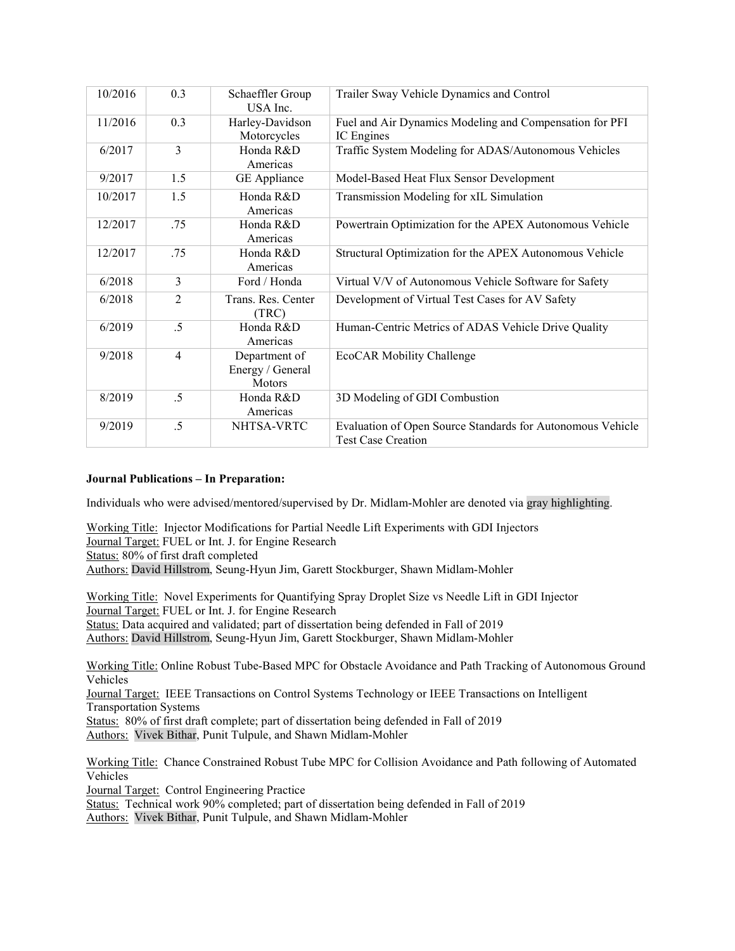| 10/2016 | 0.3            | Schaeffler Group<br>USA Inc.                | Trailer Sway Vehicle Dynamics and Control                                               |
|---------|----------------|---------------------------------------------|-----------------------------------------------------------------------------------------|
| 11/2016 | 0.3            | Harley-Davidson<br>Motorcycles              | Fuel and Air Dynamics Modeling and Compensation for PFI<br>IC Engines                   |
| 6/2017  | 3              | Honda R&D<br>Americas                       | Traffic System Modeling for ADAS/Autonomous Vehicles                                    |
| 9/2017  | 1.5            | GE Appliance                                | Model-Based Heat Flux Sensor Development                                                |
| 10/2017 | 1.5            | Honda R&D<br>Americas                       | Transmission Modeling for xIL Simulation                                                |
| 12/2017 | .75            | Honda R&D<br>Americas                       | Powertrain Optimization for the APEX Autonomous Vehicle                                 |
| 12/2017 | .75            | Honda R&D<br>Americas                       | Structural Optimization for the APEX Autonomous Vehicle                                 |
| 6/2018  | 3              | Ford / Honda                                | Virtual V/V of Autonomous Vehicle Software for Safety                                   |
| 6/2018  | $\overline{2}$ | Trans. Res. Center<br>(TRC)                 | Development of Virtual Test Cases for AV Safety                                         |
| 6/2019  | .5             | Honda R&D<br>Americas                       | Human-Centric Metrics of ADAS Vehicle Drive Quality                                     |
| 9/2018  | 4              | Department of<br>Energy / General<br>Motors | EcoCAR Mobility Challenge                                                               |
| 8/2019  | .5             | Honda R&D<br>Americas                       | 3D Modeling of GDI Combustion                                                           |
| 9/2019  | .5             | NHTSA-VRTC                                  | Evaluation of Open Source Standards for Autonomous Vehicle<br><b>Test Case Creation</b> |

# **Journal Publications – In Preparation:**

Individuals who were advised/mentored/supervised by Dr. Midlam-Mohler are denoted via gray highlighting.

Working Title: Injector Modifications for Partial Needle Lift Experiments with GDI Injectors Journal Target: FUEL or Int. J. for Engine Research Status: 80% of first draft completed Authors: David Hillstrom, Seung-Hyun Jim, Garett Stockburger, Shawn Midlam-Mohler

Working Title: Novel Experiments for Quantifying Spray Droplet Size vs Needle Lift in GDI Injector Journal Target: FUEL or Int. J. for Engine Research Status: Data acquired and validated; part of dissertation being defended in Fall of 2019 Authors: David Hillstrom, Seung-Hyun Jim, Garett Stockburger, Shawn Midlam-Mohler

Working Title: Online Robust Tube-Based MPC for Obstacle Avoidance and Path Tracking of Autonomous Ground Vehicles

Journal Target: IEEE Transactions on Control Systems Technology or IEEE Transactions on Intelligent Transportation Systems

Status: 80% of first draft complete; part of dissertation being defended in Fall of 2019 Authors: Vivek Bithar, Punit Tulpule, and Shawn Midlam-Mohler

Working Title: Chance Constrained Robust Tube MPC for Collision Avoidance and Path following of Automated Vehicles

Journal Target: Control Engineering Practice

Status: Technical work 90% completed; part of dissertation being defended in Fall of 2019

Authors: Vivek Bithar, Punit Tulpule, and Shawn Midlam-Mohler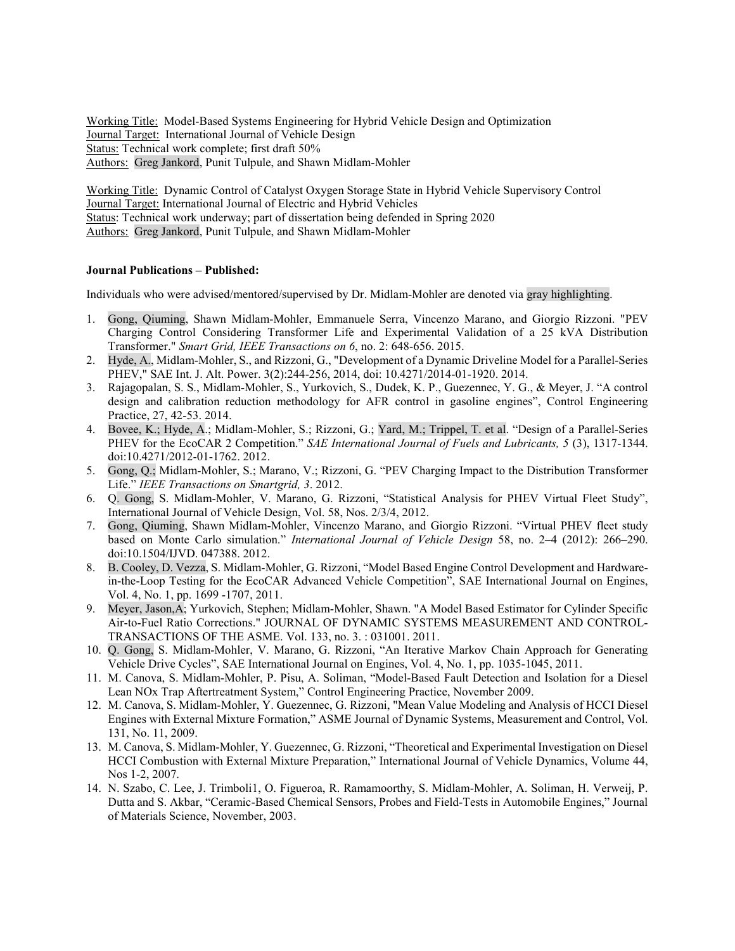Working Title: Model-Based Systems Engineering for Hybrid Vehicle Design and Optimization Journal Target: International Journal of Vehicle Design Status: Technical work complete; first draft 50% Authors: Greg Jankord, Punit Tulpule, and Shawn Midlam-Mohler

Working Title: Dynamic Control of Catalyst Oxygen Storage State in Hybrid Vehicle Supervisory Control Journal Target: International Journal of Electric and Hybrid Vehicles Status: Technical work underway; part of dissertation being defended in Spring 2020 Authors: Greg Jankord, Punit Tulpule, and Shawn Midlam-Mohler

#### **Journal Publications – Published:**

Individuals who were advised/mentored/supervised by Dr. Midlam-Mohler are denoted via gray highlighting.

- 1. Gong, Qiuming, Shawn Midlam-Mohler, Emmanuele Serra, Vincenzo Marano, and Giorgio Rizzoni. "PEV Charging Control Considering Transformer Life and Experimental Validation of a 25 kVA Distribution Transformer." *Smart Grid, IEEE Transactions on 6*, no. 2: 648-656. 2015.
- 2. Hyde, A., Midlam-Mohler, S., and Rizzoni, G., "Development of a Dynamic Driveline Model for a Parallel-Series PHEV," SAE Int. J. Alt. Power. 3(2):244-256, 2014, doi: 10.4271/2014-01-1920. 2014.
- 3. Rajagopalan, S. S., Midlam-Mohler, S., Yurkovich, S., Dudek, K. P., Guezennec, Y. G., & Meyer, J. "A control design and calibration reduction methodology for AFR control in gasoline engines", Control Engineering Practice, 27, 42-53. 2014.
- 4. Bovee, K.; Hyde, A.; Midlam-Mohler, S.; Rizzoni, G.; Yard, M.; Trippel, T. et al. "Design of a Parallel-Series PHEV for the EcoCAR 2 Competition." *SAE International Journal of Fuels and Lubricants, 5* (3), 1317-1344. doi:10.4271/2012-01-1762. 2012.
- 5. Gong, Q.; Midlam-Mohler, S.; Marano, V.; Rizzoni, G. "PEV Charging Impact to the Distribution Transformer Life." *IEEE Transactions on Smartgrid, 3*. 2012.
- 6. Q. Gong, S. Midlam-Mohler, V. Marano, G. Rizzoni, "Statistical Analysis for PHEV Virtual Fleet Study", International Journal of Vehicle Design, Vol. 58, Nos. 2/3/4, 2012.
- 7. Gong, Qiuming, Shawn Midlam-Mohler, Vincenzo Marano, and Giorgio Rizzoni. "Virtual PHEV fleet study based on Monte Carlo simulation." *International Journal of Vehicle Design* 58, no. 2–4 (2012): 266–290. doi:10.1504/IJVD. 047388. 2012.
- 8. B. Cooley, D. Vezza, S. Midlam-Mohler, G. Rizzoni, "Model Based Engine Control Development and Hardwarein-the-Loop Testing for the EcoCAR Advanced Vehicle Competition", SAE International Journal on Engines, Vol. 4, No. 1, pp. 1699 -1707, 2011.
- 9. Meyer, Jason,A; Yurkovich, Stephen; Midlam-Mohler, Shawn. "A Model Based Estimator for Cylinder Specific Air-to-Fuel Ratio Corrections." JOURNAL OF DYNAMIC SYSTEMS MEASUREMENT AND CONTROL-TRANSACTIONS OF THE ASME. Vol. 133, no. 3. : 031001. 2011.
- 10. Q. Gong, S. Midlam-Mohler, V. Marano, G. Rizzoni, "An Iterative Markov Chain Approach for Generating Vehicle Drive Cycles", SAE International Journal on Engines, Vol. 4, No. 1, pp. 1035-1045, 2011.
- 11. M. Canova, S. Midlam-Mohler, P. Pisu, A. Soliman, "Model-Based Fault Detection and Isolation for a Diesel Lean NOx Trap Aftertreatment System," Control Engineering Practice, November 2009.
- 12. M. Canova, S. Midlam-Mohler, Y. Guezennec, G. Rizzoni, "Mean Value Modeling and Analysis of HCCI Diesel Engines with External Mixture Formation," ASME Journal of Dynamic Systems, Measurement and Control, Vol. 131, No. 11, 2009.
- 13. M. Canova, S. Midlam-Mohler, Y. Guezennec, G. Rizzoni, "Theoretical and Experimental Investigation on Diesel HCCI Combustion with External Mixture Preparation," International Journal of Vehicle Dynamics, Volume 44, Nos 1-2, 2007.
- 14. N. Szabo, C. Lee, J. Trimboli1, O. Figueroa, R. Ramamoorthy, S. Midlam-Mohler, A. Soliman, H. Verweij, P. Dutta and S. Akbar, "Ceramic-Based Chemical Sensors, Probes and Field-Tests in Automobile Engines," Journal of Materials Science, November, 2003.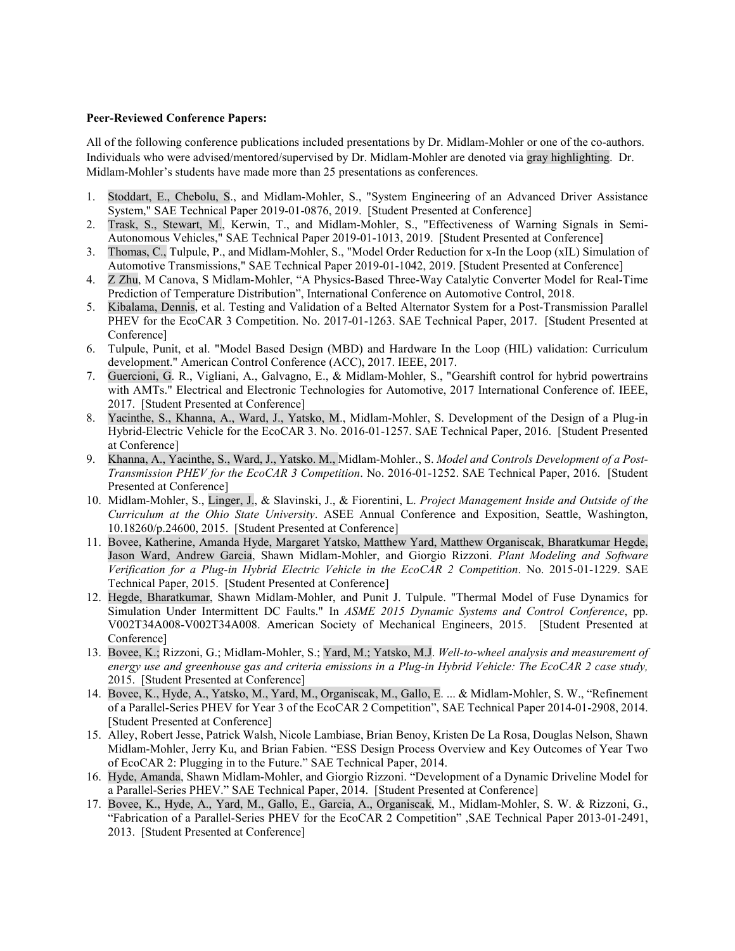#### **Peer-Reviewed Conference Papers:**

All of the following conference publications included presentations by Dr. Midlam-Mohler or one of the co-authors. Individuals who were advised/mentored/supervised by Dr. Midlam-Mohler are denoted via gray highlighting. Dr. Midlam-Mohler's students have made more than 25 presentations as conferences.

- 1. Stoddart, E., Chebolu, S., and Midlam-Mohler, S., "System Engineering of an Advanced Driver Assistance System," SAE Technical Paper 2019-01-0876, 2019. [Student Presented at Conference]
- 2. Trask, S., Stewart, M., Kerwin, T., and Midlam-Mohler, S., "Effectiveness of Warning Signals in Semi-Autonomous Vehicles," SAE Technical Paper 2019-01-1013, 2019. [Student Presented at Conference]
- 3. Thomas, C., Tulpule, P., and Midlam-Mohler, S., "Model Order Reduction for x-In the Loop (xIL) Simulation of Automotive Transmissions," SAE Technical Paper 2019-01-1042, 2019. [Student Presented at Conference]
- 4. Z Zhu, M Canova, S Midlam-Mohler, "A Physics-Based Three-Way Catalytic Converter Model for Real-Time Prediction of Temperature Distribution", International Conference on Automotive Control, 2018.
- 5. Kibalama, Dennis, et al. Testing and Validation of a Belted Alternator System for a Post-Transmission Parallel PHEV for the EcoCAR 3 Competition. No. 2017-01-1263. SAE Technical Paper, 2017. [Student Presented at Conference]
- 6. Tulpule, Punit, et al. "Model Based Design (MBD) and Hardware In the Loop (HIL) validation: Curriculum development." American Control Conference (ACC), 2017. IEEE, 2017.
- 7. Guercioni, G. R., Vigliani, A., Galvagno, E., & Midlam-Mohler, S., "Gearshift control for hybrid powertrains with AMTs." Electrical and Electronic Technologies for Automotive, 2017 International Conference of. IEEE, 2017. [Student Presented at Conference]
- 8. Yacinthe, S., Khanna, A., Ward, J., Yatsko, M., Midlam-Mohler, S. Development of the Design of a Plug-in Hybrid-Electric Vehicle for the EcoCAR 3. No. 2016-01-1257. SAE Technical Paper, 2016. [Student Presented at Conference]
- 9. Khanna, A., Yacinthe, S., Ward, J., Yatsko. M., Midlam-Mohler., S. *Model and Controls Development of a Post-Transmission PHEV for the EcoCAR 3 Competition*. No. 2016-01-1252. SAE Technical Paper, 2016. [Student Presented at Conference]
- 10. Midlam-Mohler, S., Linger, J., & Slavinski, J., & Fiorentini, L. *Project Management Inside and Outside of the Curriculum at the Ohio State University*. ASEE Annual Conference and Exposition, Seattle, Washington, 10.18260/p.24600, 2015. [Student Presented at Conference]
- 11. Bovee, Katherine, Amanda Hyde, Margaret Yatsko, Matthew Yard, Matthew Organiscak, Bharatkumar Hegde, Jason Ward, Andrew Garcia, Shawn Midlam-Mohler, and Giorgio Rizzoni. *Plant Modeling and Software Verification for a Plug-in Hybrid Electric Vehicle in the EcoCAR 2 Competition*. No. 2015-01-1229. SAE Technical Paper, 2015. [Student Presented at Conference]
- 12. Hegde, Bharatkumar, Shawn Midlam-Mohler, and Punit J. Tulpule. "Thermal Model of Fuse Dynamics for Simulation Under Intermittent DC Faults." In *ASME 2015 Dynamic Systems and Control Conference*, pp. V002T34A008-V002T34A008. American Society of Mechanical Engineers, 2015. [Student Presented at Conference]
- 13. Bovee, K.; Rizzoni, G.; Midlam-Mohler, S.; Yard, M.; Yatsko, M.J. *Well-to-wheel analysis and measurement of energy use and greenhouse gas and criteria emissions in a Plug-in Hybrid Vehicle: The EcoCAR 2 case study,*  2015. [Student Presented at Conference]
- 14. Bovee, K., Hyde, A., Yatsko, M., Yard, M., Organiscak, M., Gallo, E. ... & Midlam-Mohler, S. W., "Refinement of a Parallel-Series PHEV for Year 3 of the EcoCAR 2 Competition", SAE Technical Paper 2014-01-2908, 2014. [Student Presented at Conference]
- 15. Alley, Robert Jesse, Patrick Walsh, Nicole Lambiase, Brian Benoy, Kristen De La Rosa, Douglas Nelson, Shawn Midlam-Mohler, Jerry Ku, and Brian Fabien. "ESS Design Process Overview and Key Outcomes of Year Two of EcoCAR 2: Plugging in to the Future." SAE Technical Paper, 2014.
- 16. Hyde, Amanda, Shawn Midlam-Mohler, and Giorgio Rizzoni. "Development of a Dynamic Driveline Model for a Parallel-Series PHEV." SAE Technical Paper, 2014. [Student Presented at Conference]
- 17. Bovee, K., Hyde, A., Yard, M., Gallo, E., Garcia, A., Organiscak, M., Midlam-Mohler, S. W. & Rizzoni, G., "Fabrication of a Parallel-Series PHEV for the EcoCAR 2 Competition" ,SAE Technical Paper 2013-01-2491, 2013. [Student Presented at Conference]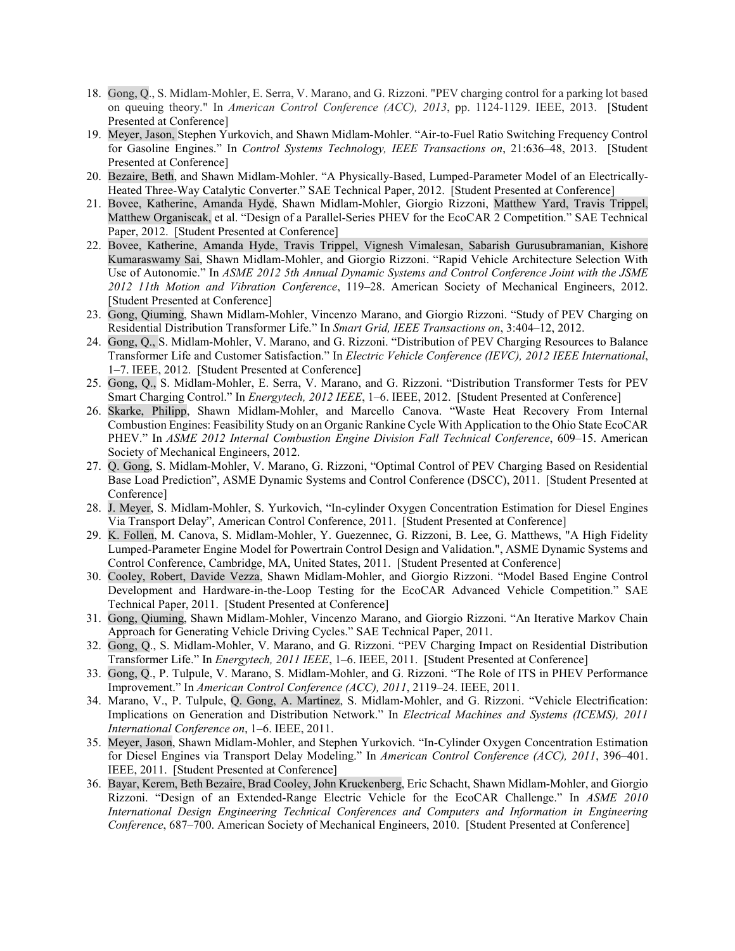- 18. Gong, Q., S. Midlam-Mohler, E. Serra, V. Marano, and G. Rizzoni. "PEV charging control for a parking lot based on queuing theory." In *American Control Conference (ACC), 2013*, pp. 1124-1129. IEEE, 2013. [Student Presented at Conference]
- 19. Meyer, Jason, Stephen Yurkovich, and Shawn Midlam-Mohler. "Air-to-Fuel Ratio Switching Frequency Control for Gasoline Engines." In *Control Systems Technology, IEEE Transactions on*, 21:636–48, 2013. [Student Presented at Conference]
- 20. Bezaire, Beth, and Shawn Midlam-Mohler. "A Physically-Based, Lumped-Parameter Model of an Electrically-Heated Three-Way Catalytic Converter." SAE Technical Paper, 2012. [Student Presented at Conference]
- 21. Bovee, Katherine, Amanda Hyde, Shawn Midlam-Mohler, Giorgio Rizzoni, Matthew Yard, Travis Trippel, Matthew Organiscak, et al. "Design of a Parallel-Series PHEV for the EcoCAR 2 Competition." SAE Technical Paper, 2012. [Student Presented at Conference]
- 22. Bovee, Katherine, Amanda Hyde, Travis Trippel, Vignesh Vimalesan, Sabarish Gurusubramanian, Kishore Kumaraswamy Sai, Shawn Midlam-Mohler, and Giorgio Rizzoni. "Rapid Vehicle Architecture Selection With Use of Autonomie." In *ASME 2012 5th Annual Dynamic Systems and Control Conference Joint with the JSME 2012 11th Motion and Vibration Conference*, 119–28. American Society of Mechanical Engineers, 2012. [Student Presented at Conference]
- 23. Gong, Qiuming, Shawn Midlam-Mohler, Vincenzo Marano, and Giorgio Rizzoni. "Study of PEV Charging on Residential Distribution Transformer Life." In *Smart Grid, IEEE Transactions on*, 3:404–12, 2012.
- 24. Gong, Q., S. Midlam-Mohler, V. Marano, and G. Rizzoni. "Distribution of PEV Charging Resources to Balance Transformer Life and Customer Satisfaction." In *Electric Vehicle Conference (IEVC), 2012 IEEE International*, 1–7. IEEE, 2012. [Student Presented at Conference]
- 25. Gong, Q., S. Midlam-Mohler, E. Serra, V. Marano, and G. Rizzoni. "Distribution Transformer Tests for PEV Smart Charging Control." In *Energytech, 2012 IEEE*, 1–6. IEEE, 2012. [Student Presented at Conference]
- 26. Skarke, Philipp, Shawn Midlam-Mohler, and Marcello Canova. "Waste Heat Recovery From Internal Combustion Engines: Feasibility Study on an Organic Rankine Cycle With Application to the Ohio State EcoCAR PHEV." In *ASME 2012 Internal Combustion Engine Division Fall Technical Conference*, 609–15. American Society of Mechanical Engineers, 2012.
- 27. Q. Gong, S. Midlam-Mohler, V. Marano, G. Rizzoni, "Optimal Control of PEV Charging Based on Residential Base Load Prediction", ASME Dynamic Systems and Control Conference (DSCC), 2011. [Student Presented at Conference]
- 28. J. Meyer, S. Midlam-Mohler, S. Yurkovich, "In-cylinder Oxygen Concentration Estimation for Diesel Engines Via Transport Delay", American Control Conference, 2011. [Student Presented at Conference]
- 29. K. Follen, M. Canova, S. Midlam-Mohler, Y. Guezennec, G. Rizzoni, B. Lee, G. Matthews, "A High Fidelity Lumped-Parameter Engine Model for Powertrain Control Design and Validation.", ASME Dynamic Systems and Control Conference, Cambridge, MA, United States, 2011. [Student Presented at Conference]
- 30. Cooley, Robert, Davide Vezza, Shawn Midlam-Mohler, and Giorgio Rizzoni. "Model Based Engine Control Development and Hardware-in-the-Loop Testing for the EcoCAR Advanced Vehicle Competition." SAE Technical Paper, 2011. [Student Presented at Conference]
- 31. Gong, Qiuming, Shawn Midlam-Mohler, Vincenzo Marano, and Giorgio Rizzoni. "An Iterative Markov Chain Approach for Generating Vehicle Driving Cycles." SAE Technical Paper, 2011.
- 32. Gong, Q., S. Midlam-Mohler, V. Marano, and G. Rizzoni. "PEV Charging Impact on Residential Distribution Transformer Life." In *Energytech, 2011 IEEE*, 1–6. IEEE, 2011. [Student Presented at Conference]
- 33. Gong, Q., P. Tulpule, V. Marano, S. Midlam-Mohler, and G. Rizzoni. "The Role of ITS in PHEV Performance Improvement." In *American Control Conference (ACC), 2011*, 2119–24. IEEE, 2011.
- 34. Marano, V., P. Tulpule, Q. Gong, A. Martinez, S. Midlam-Mohler, and G. Rizzoni. "Vehicle Electrification: Implications on Generation and Distribution Network." In *Electrical Machines and Systems (ICEMS), 2011 International Conference on*, 1–6. IEEE, 2011.
- 35. Meyer, Jason, Shawn Midlam-Mohler, and Stephen Yurkovich. "In-Cylinder Oxygen Concentration Estimation for Diesel Engines via Transport Delay Modeling." In *American Control Conference (ACC), 2011*, 396–401. IEEE, 2011. [Student Presented at Conference]
- 36. Bayar, Kerem, Beth Bezaire, Brad Cooley, John Kruckenberg, Eric Schacht, Shawn Midlam-Mohler, and Giorgio Rizzoni. "Design of an Extended-Range Electric Vehicle for the EcoCAR Challenge." In *ASME 2010 International Design Engineering Technical Conferences and Computers and Information in Engineering Conference*, 687–700. American Society of Mechanical Engineers, 2010. [Student Presented at Conference]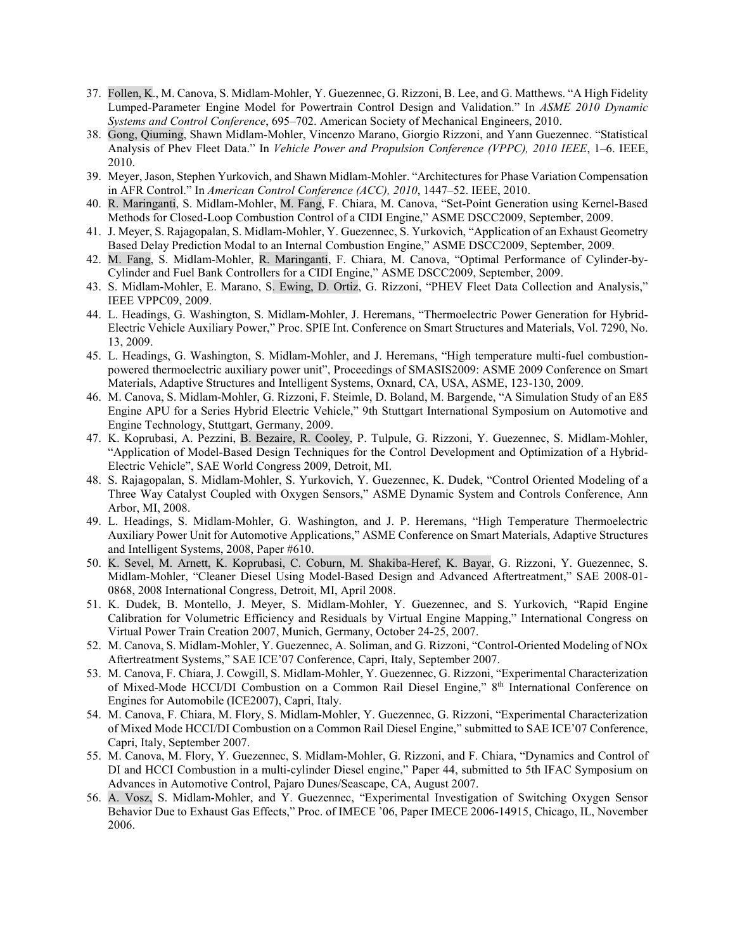- 37. Follen, K., M. Canova, S. Midlam-Mohler, Y. Guezennec, G. Rizzoni, B. Lee, and G. Matthews. "A High Fidelity Lumped-Parameter Engine Model for Powertrain Control Design and Validation." In *ASME 2010 Dynamic Systems and Control Conference*, 695–702. American Society of Mechanical Engineers, 2010.
- 38. Gong, Qiuming, Shawn Midlam-Mohler, Vincenzo Marano, Giorgio Rizzoni, and Yann Guezennec. "Statistical Analysis of Phev Fleet Data." In *Vehicle Power and Propulsion Conference (VPPC), 2010 IEEE*, 1–6. IEEE, 2010.
- 39. Meyer, Jason, Stephen Yurkovich, and Shawn Midlam-Mohler. "Architectures for Phase Variation Compensation in AFR Control." In *American Control Conference (ACC), 2010*, 1447–52. IEEE, 2010.
- 40. R. Maringanti, S. Midlam-Mohler, M. Fang, F. Chiara, M. Canova, "Set-Point Generation using Kernel-Based Methods for Closed-Loop Combustion Control of a CIDI Engine," ASME DSCC2009, September, 2009.
- 41. J. Meyer, S. Rajagopalan, S. Midlam-Mohler, Y. Guezennec, S. Yurkovich, "Application of an Exhaust Geometry Based Delay Prediction Modal to an Internal Combustion Engine," ASME DSCC2009, September, 2009.
- 42. M. Fang, S. Midlam-Mohler, R. Maringanti, F. Chiara, M. Canova, "Optimal Performance of Cylinder-by-Cylinder and Fuel Bank Controllers for a CIDI Engine," ASME DSCC2009, September, 2009.
- 43. S. Midlam-Mohler, E. Marano, S. Ewing, D. Ortiz, G. Rizzoni, "PHEV Fleet Data Collection and Analysis," IEEE VPPC09, 2009.
- 44. L. Headings, G. Washington, S. Midlam-Mohler, J. Heremans, "Thermoelectric Power Generation for Hybrid-Electric Vehicle Auxiliary Power," Proc. SPIE Int. Conference on Smart Structures and Materials, Vol. 7290, No. 13, 2009.
- 45. L. Headings, G. Washington, S. Midlam-Mohler, and J. Heremans, "High temperature multi-fuel combustionpowered thermoelectric auxiliary power unit", Proceedings of SMASIS2009: ASME 2009 Conference on Smart Materials, Adaptive Structures and Intelligent Systems, Oxnard, CA, USA, ASME, 123-130, 2009.
- 46. M. Canova, S. Midlam-Mohler, G. Rizzoni, F. Steimle, D. Boland, M. Bargende, "A Simulation Study of an E85 Engine APU for a Series Hybrid Electric Vehicle," 9th Stuttgart International Symposium on Automotive and Engine Technology, Stuttgart, Germany, 2009.
- 47. K. Koprubasi, A. Pezzini, B. Bezaire, R. Cooley, P. Tulpule, G. Rizzoni, Y. Guezennec, S. Midlam-Mohler, "Application of Model-Based Design Techniques for the Control Development and Optimization of a Hybrid-Electric Vehicle", SAE World Congress 2009, Detroit, MI.
- 48. S. Rajagopalan, S. Midlam-Mohler, S. Yurkovich, Y. Guezennec, K. Dudek, "Control Oriented Modeling of a Three Way Catalyst Coupled with Oxygen Sensors," ASME Dynamic System and Controls Conference, Ann Arbor, MI, 2008.
- 49. L. Headings, S. Midlam-Mohler, G. Washington, and J. P. Heremans, "High Temperature Thermoelectric Auxiliary Power Unit for Automotive Applications," ASME Conference on Smart Materials, Adaptive Structures and Intelligent Systems, 2008, Paper #610.
- 50. K. Sevel, M. Arnett, K. Koprubasi, C. Coburn, M. Shakiba-Heref, K. Bayar, G. Rizzoni, Y. Guezennec, S. Midlam-Mohler, "Cleaner Diesel Using Model-Based Design and Advanced Aftertreatment," SAE 2008-01- 0868, 2008 International Congress, Detroit, MI, April 2008.
- 51. K. Dudek, B. Montello, J. Meyer, S. Midlam-Mohler, Y. Guezennec, and S. Yurkovich, "Rapid Engine Calibration for Volumetric Efficiency and Residuals by Virtual Engine Mapping," International Congress on Virtual Power Train Creation 2007, Munich, Germany, October 24-25, 2007.
- 52. M. Canova, S. Midlam-Mohler, Y. Guezennec, A. Soliman, and G. Rizzoni, "Control-Oriented Modeling of NOx Aftertreatment Systems," SAE ICE'07 Conference, Capri, Italy, September 2007.
- 53. M. Canova, F. Chiara, J. Cowgill, S. Midlam-Mohler, Y. Guezennec, G. Rizzoni, "Experimental Characterization of Mixed-Mode HCCI/DI Combustion on a Common Rail Diesel Engine," 8<sup>th</sup> International Conference on Engines for Automobile (ICE2007), Capri, Italy.
- 54. M. Canova, F. Chiara, M. Flory, S. Midlam-Mohler, Y. Guezennec, G. Rizzoni, "Experimental Characterization of Mixed Mode HCCI/DI Combustion on a Common Rail Diesel Engine," submitted to SAE ICE'07 Conference, Capri, Italy, September 2007.
- 55. M. Canova, M. Flory, Y. Guezennec, S. Midlam-Mohler, G. Rizzoni, and F. Chiara, "Dynamics and Control of DI and HCCI Combustion in a multi-cylinder Diesel engine," Paper 44, submitted to 5th IFAC Symposium on Advances in Automotive Control, Pajaro Dunes/Seascape, CA, August 2007.
- 56. A. Vosz, S. Midlam-Mohler, and Y. Guezennec, "Experimental Investigation of Switching Oxygen Sensor Behavior Due to Exhaust Gas Effects," Proc. of IMECE '06, Paper IMECE 2006-14915, Chicago, IL, November 2006.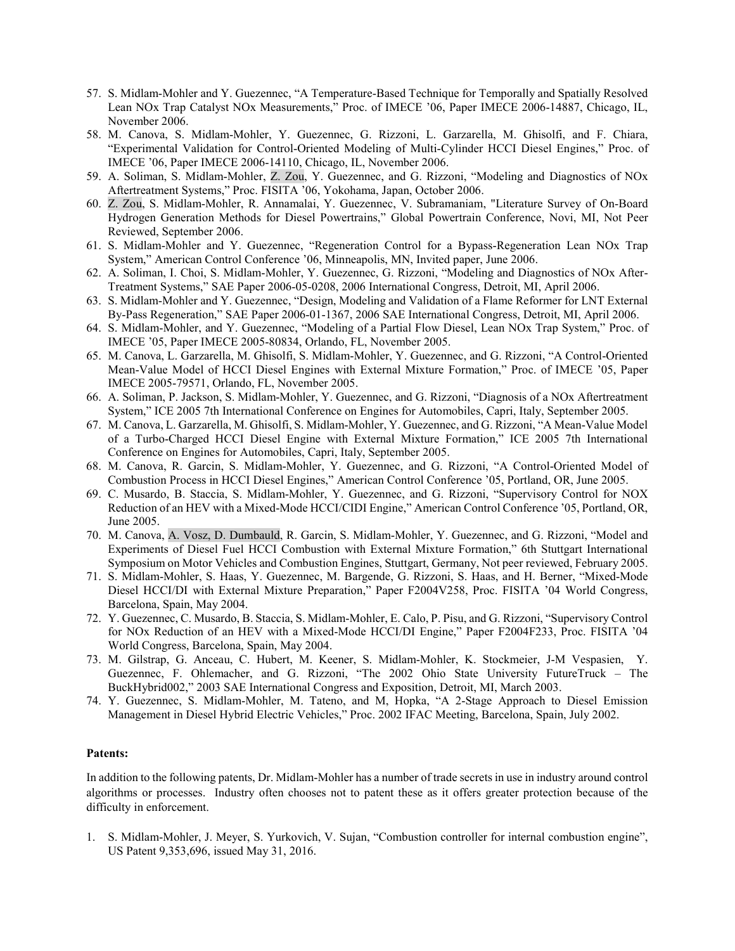- 57. S. Midlam-Mohler and Y. Guezennec, "A Temperature-Based Technique for Temporally and Spatially Resolved Lean NOx Trap Catalyst NOx Measurements," Proc. of IMECE '06, Paper IMECE 2006-14887, Chicago, IL, November 2006.
- 58. M. Canova, S. Midlam-Mohler, Y. Guezennec, G. Rizzoni, L. Garzarella, M. Ghisolfi, and F. Chiara, "Experimental Validation for Control-Oriented Modeling of Multi-Cylinder HCCI Diesel Engines," Proc. of IMECE '06, Paper IMECE 2006-14110, Chicago, IL, November 2006.
- 59. A. Soliman, S. Midlam-Mohler, Z. Zou, Y. Guezennec, and G. Rizzoni, "Modeling and Diagnostics of NOx Aftertreatment Systems," Proc. FISITA '06, Yokohama, Japan, October 2006.
- 60. Z. Zou, S. Midlam-Mohler, R. Annamalai, Y. Guezennec, V. Subramaniam, "Literature Survey of On-Board Hydrogen Generation Methods for Diesel Powertrains," Global Powertrain Conference, Novi, MI, Not Peer Reviewed, September 2006.
- 61. S. Midlam-Mohler and Y. Guezennec, "Regeneration Control for a Bypass-Regeneration Lean NOx Trap System," American Control Conference '06, Minneapolis, MN, Invited paper, June 2006.
- 62. A. Soliman, I. Choi, S. Midlam-Mohler, Y. Guezennec, G. Rizzoni, "Modeling and Diagnostics of NOx After-Treatment Systems," SAE Paper 2006-05-0208, 2006 International Congress, Detroit, MI, April 2006.
- 63. S. Midlam-Mohler and Y. Guezennec, "Design, Modeling and Validation of a Flame Reformer for LNT External By-Pass Regeneration," SAE Paper 2006-01-1367, 2006 SAE International Congress, Detroit, MI, April 2006.
- 64. S. Midlam-Mohler, and Y. Guezennec, "Modeling of a Partial Flow Diesel, Lean NOx Trap System," Proc. of IMECE '05, Paper IMECE 2005-80834, Orlando, FL, November 2005.
- 65. M. Canova, L. Garzarella, M. Ghisolfi, S. Midlam-Mohler, Y. Guezennec, and G. Rizzoni, "A Control-Oriented Mean-Value Model of HCCI Diesel Engines with External Mixture Formation," Proc. of IMECE '05, Paper IMECE 2005-79571, Orlando, FL, November 2005.
- 66. A. Soliman, P. Jackson, S. Midlam-Mohler, Y. Guezennec, and G. Rizzoni, "Diagnosis of a NOx Aftertreatment System," ICE 2005 7th International Conference on Engines for Automobiles, Capri, Italy, September 2005.
- 67. M. Canova, L. Garzarella, M. Ghisolfi, S. Midlam-Mohler, Y. Guezennec, and G. Rizzoni, "A Mean-Value Model of a Turbo-Charged HCCI Diesel Engine with External Mixture Formation," ICE 2005 7th International Conference on Engines for Automobiles, Capri, Italy, September 2005.
- 68. M. Canova, R. Garcin, S. Midlam-Mohler, Y. Guezennec, and G. Rizzoni, "A Control-Oriented Model of Combustion Process in HCCI Diesel Engines," American Control Conference '05, Portland, OR, June 2005.
- 69. C. Musardo, B. Staccia, S. Midlam-Mohler, Y. Guezennec, and G. Rizzoni, "Supervisory Control for NOX Reduction of an HEV with a Mixed-Mode HCCI/CIDI Engine," American Control Conference '05, Portland, OR, June 2005.
- 70. M. Canova, A. Vosz, D. Dumbauld, R. Garcin, S. Midlam-Mohler, Y. Guezennec, and G. Rizzoni, "Model and Experiments of Diesel Fuel HCCI Combustion with External Mixture Formation," 6th Stuttgart International Symposium on Motor Vehicles and Combustion Engines, Stuttgart, Germany, Not peer reviewed, February 2005.
- 71. S. Midlam-Mohler, S. Haas, Y. Guezennec, M. Bargende, G. Rizzoni, S. Haas, and H. Berner, "Mixed-Mode Diesel HCCI/DI with External Mixture Preparation," Paper F2004V258, Proc. FISITA '04 World Congress, Barcelona, Spain, May 2004.
- 72. Y. Guezennec, C. Musardo, B. Staccia, S. Midlam-Mohler, E. Calo, P. Pisu, and G. Rizzoni, "Supervisory Control for NOx Reduction of an HEV with a Mixed-Mode HCCI/DI Engine," Paper F2004F233, Proc. FISITA '04 World Congress, Barcelona, Spain, May 2004.
- 73. M. Gilstrap, G. Anceau, C. Hubert, M. Keener, S. Midlam-Mohler, K. Stockmeier, J-M Vespasien, Y. Guezennec, F. Ohlemacher, and G. Rizzoni, "The 2002 Ohio State University FutureTruck – The BuckHybrid002," 2003 SAE International Congress and Exposition, Detroit, MI, March 2003.
- 74. Y. Guezennec, S. Midlam-Mohler, M. Tateno, and M, Hopka, "A 2-Stage Approach to Diesel Emission Management in Diesel Hybrid Electric Vehicles," Proc. 2002 IFAC Meeting, Barcelona, Spain, July 2002.

#### **Patents:**

In addition to the following patents, Dr. Midlam-Mohler has a number of trade secrets in use in industry around control algorithms or processes. Industry often chooses not to patent these as it offers greater protection because of the difficulty in enforcement.

1. S. Midlam-Mohler, J. Meyer, S. Yurkovich, V. Sujan, "Combustion controller for internal combustion engine", US Patent 9,353,696, issued May 31, 2016.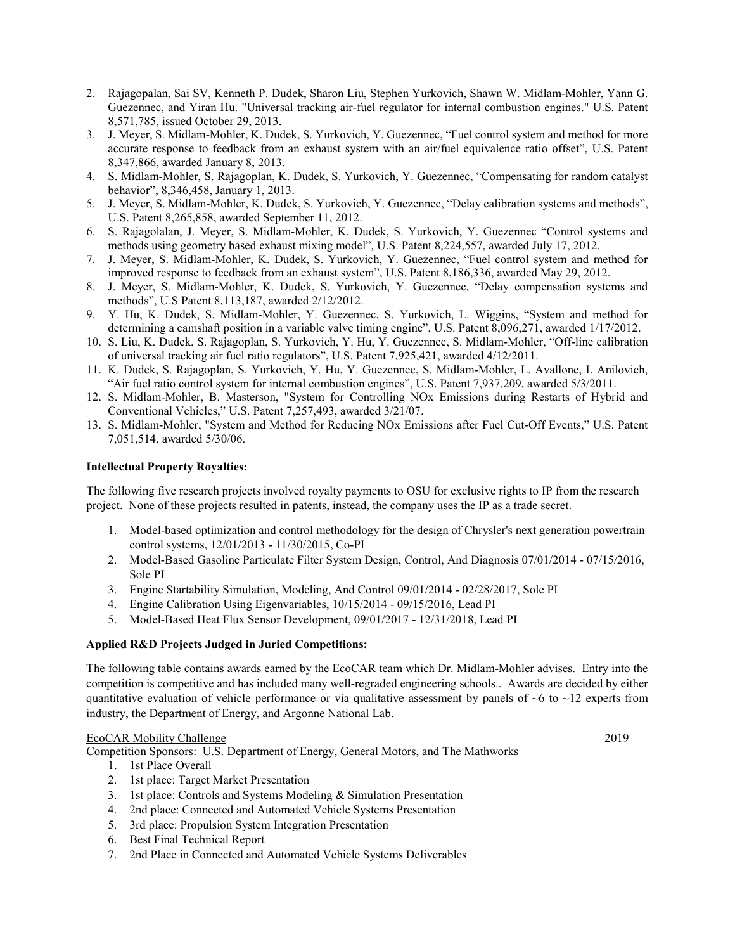- 2. Rajagopalan, Sai SV, Kenneth P. Dudek, Sharon Liu, Stephen Yurkovich, Shawn W. Midlam-Mohler, Yann G. Guezennec, and Yiran Hu. "Universal tracking air-fuel regulator for internal combustion engines." U.S. Patent 8,571,785, issued October 29, 2013.
- 3. J. Meyer, S. Midlam-Mohler, K. Dudek, S. Yurkovich, Y. Guezennec, "Fuel control system and method for more accurate response to feedback from an exhaust system with an air/fuel equivalence ratio offset", U.S. Patent 8,347,866, awarded January 8, 2013.
- 4. S. Midlam-Mohler, S. Rajagoplan, K. Dudek, S. Yurkovich, Y. Guezennec, "Compensating for random catalyst behavior", 8,346,458, January 1, 2013.
- 5. J. Meyer, S. Midlam-Mohler, K. Dudek, S. Yurkovich, Y. Guezennec, "Delay calibration systems and methods", U.S. Patent 8,265,858, awarded September 11, 2012.
- 6. S. Rajagolalan, J. Meyer, S. Midlam-Mohler, K. Dudek, S. Yurkovich, Y. Guezennec "Control systems and methods using geometry based exhaust mixing model", U.S. Patent 8,224,557, awarded July 17, 2012.
- 7. J. Meyer, S. Midlam-Mohler, K. Dudek, S. Yurkovich, Y. Guezennec, "Fuel control system and method for improved response to feedback from an exhaust system", U.S. Patent 8,186,336, awarded May 29, 2012.
- 8. J. Meyer, S. Midlam-Mohler, K. Dudek, S. Yurkovich, Y. Guezennec, "Delay compensation systems and methods", U.S Patent 8,113,187, awarded 2/12/2012.
- 9. Y. Hu, K. Dudek, S. Midlam-Mohler, Y. Guezennec, S. Yurkovich, L. Wiggins, "System and method for determining a camshaft position in a variable valve timing engine", U.S. Patent 8,096,271, awarded 1/17/2012.
- 10. S. Liu, K. Dudek, S. Rajagoplan, S. Yurkovich, Y. Hu, Y. Guezennec, S. Midlam-Mohler, "Off-line calibration of universal tracking air fuel ratio regulators", U.S. Patent 7,925,421, awarded 4/12/2011.
- 11. K. Dudek, S. Rajagoplan, S. Yurkovich, Y. Hu, Y. Guezennec, S. Midlam-Mohler, L. Avallone, I. Anilovich, "Air fuel ratio control system for internal combustion engines", U.S. Patent 7,937,209, awarded 5/3/2011.
- 12. S. Midlam-Mohler, B. Masterson, "System for Controlling NOx Emissions during Restarts of Hybrid and Conventional Vehicles," U.S. Patent 7,257,493, awarded 3/21/07.
- 13. S. Midlam-Mohler, "System and Method for Reducing NOx Emissions after Fuel Cut-Off Events," U.S. Patent 7,051,514, awarded 5/30/06.

# **Intellectual Property Royalties:**

The following five research projects involved royalty payments to OSU for exclusive rights to IP from the research project. None of these projects resulted in patents, instead, the company uses the IP as a trade secret.

- 1. Model-based optimization and control methodology for the design of Chrysler's next generation powertrain control systems, 12/01/2013 - 11/30/2015, Co-PI
- 2. Model-Based Gasoline Particulate Filter System Design, Control, And Diagnosis 07/01/2014 07/15/2016, Sole PI
- 3. Engine Startability Simulation, Modeling, And Control 09/01/2014 02/28/2017, Sole PI
- 4. Engine Calibration Using Eigenvariables, 10/15/2014 09/15/2016, Lead PI
- 5. Model-Based Heat Flux Sensor Development, 09/01/2017 12/31/2018, Lead PI

# **Applied R&D Projects Judged in Juried Competitions:**

The following table contains awards earned by the EcoCAR team which Dr. Midlam-Mohler advises. Entry into the competition is competitive and has included many well-regraded engineering schools.. Awards are decided by either quantitative evaluation of vehicle performance or via qualitative assessment by panels of  $~6$  to  $~12$  experts from industry, the Department of Energy, and Argonne National Lab.

# EcoCAR Mobility Challenge 2019

Competition Sponsors: U.S. Department of Energy, General Motors, and The Mathworks

- 1. 1st Place Overall
- 2. 1st place: Target Market Presentation
- 3. 1st place: Controls and Systems Modeling & Simulation Presentation
- 4. 2nd place: Connected and Automated Vehicle Systems Presentation
- 5. 3rd place: Propulsion System Integration Presentation
- 6. Best Final Technical Report
- 7. 2nd Place in Connected and Automated Vehicle Systems Deliverables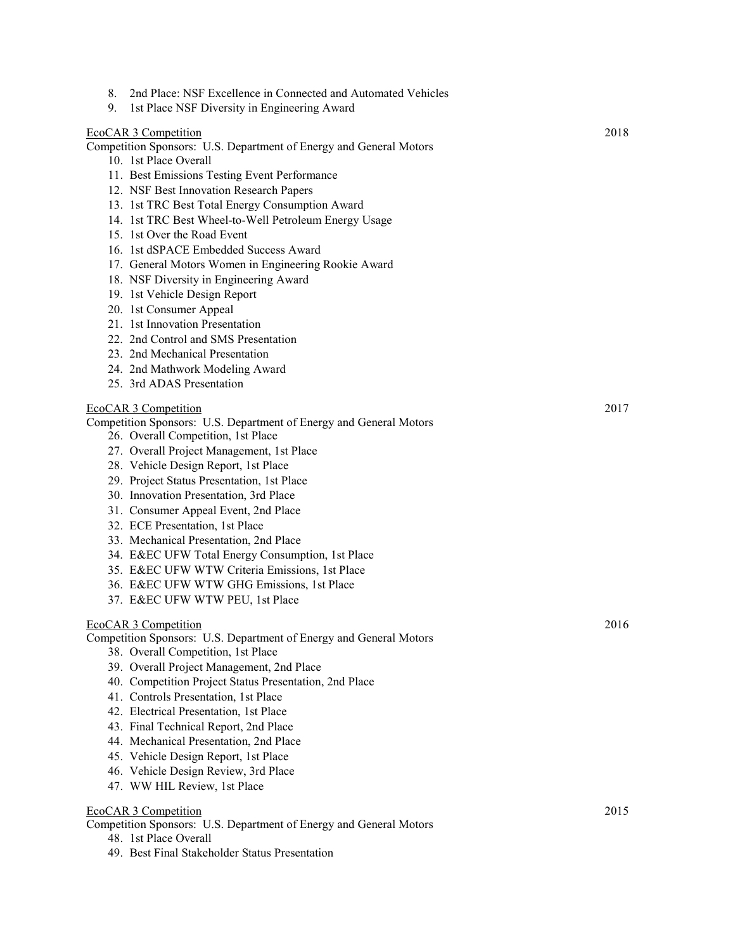| 8.<br>9. | 2nd Place: NSF Excellence in Connected and Automated Vehicles<br>1st Place NSF Diversity in Engineering Award |      |
|----------|---------------------------------------------------------------------------------------------------------------|------|
|          | EcoCAR 3 Competition                                                                                          | 2018 |
|          | Competition Sponsors: U.S. Department of Energy and General Motors                                            |      |
|          | 10. 1st Place Overall                                                                                         |      |
|          | 11. Best Emissions Testing Event Performance                                                                  |      |
|          | 12. NSF Best Innovation Research Papers                                                                       |      |
|          | 13. 1st TRC Best Total Energy Consumption Award                                                               |      |
|          | 14. 1st TRC Best Wheel-to-Well Petroleum Energy Usage                                                         |      |
|          | 15. 1st Over the Road Event                                                                                   |      |
|          | 16. 1st dSPACE Embedded Success Award                                                                         |      |
|          | 17. General Motors Women in Engineering Rookie Award                                                          |      |
|          | 18. NSF Diversity in Engineering Award                                                                        |      |
|          | 19. 1st Vehicle Design Report                                                                                 |      |
|          | 20. 1st Consumer Appeal                                                                                       |      |
|          | 21. 1st Innovation Presentation                                                                               |      |
|          | 22. 2nd Control and SMS Presentation                                                                          |      |
|          | 23. 2nd Mechanical Presentation                                                                               |      |
|          | 24. 2nd Mathwork Modeling Award                                                                               |      |
|          | 25. 3rd ADAS Presentation                                                                                     |      |
|          | EcoCAR 3 Competition                                                                                          | 2017 |
|          | Competition Sponsors: U.S. Department of Energy and General Motors                                            |      |
|          | 26. Overall Competition, 1st Place                                                                            |      |
|          | 27. Overall Project Management, 1st Place                                                                     |      |
|          | 28. Vehicle Design Report, 1st Place                                                                          |      |
|          | 29. Project Status Presentation, 1st Place                                                                    |      |
|          | 30. Innovation Presentation, 3rd Place                                                                        |      |
|          | 31. Consumer Appeal Event, 2nd Place                                                                          |      |
|          | 32. ECE Presentation, 1st Place                                                                               |      |
|          | 33. Mechanical Presentation, 2nd Place                                                                        |      |
|          | 34. E&EC UFW Total Energy Consumption, 1st Place                                                              |      |
|          | 35. E&EC UFW WTW Criteria Emissions, 1st Place                                                                |      |
|          | 36. E&EC UFW WTW GHG Emissions, 1st Place                                                                     |      |
|          | 37. E&EC UFW WTW PEU, 1st Place                                                                               |      |
|          | EcoCAR 3 Competition                                                                                          | 2016 |
|          | Competition Sponsors: U.S. Department of Energy and General Motors                                            |      |
|          | 38. Overall Competition, 1st Place                                                                            |      |
|          | 39. Overall Project Management, 2nd Place                                                                     |      |
|          | 40. Competition Project Status Presentation, 2nd Place                                                        |      |
|          | 41. Controls Presentation, 1st Place                                                                          |      |
|          | 42. Electrical Presentation, 1st Place                                                                        |      |
|          | 43. Final Technical Report, 2nd Place                                                                         |      |
|          | 44. Mechanical Presentation, 2nd Place                                                                        |      |
|          | 45. Vehicle Design Report, 1st Place                                                                          |      |
|          | 46. Vehicle Design Review, 3rd Place                                                                          |      |
|          | 47. WW HIL Review, 1st Place                                                                                  |      |
|          | EcoCAR 3 Competition                                                                                          | 2015 |
|          | Competition Sponsors: U.S. Department of Energy and General Motors                                            |      |
|          | 48. 1st Place Overall                                                                                         |      |
|          | 49. Best Final Stakeholder Status Presentation                                                                |      |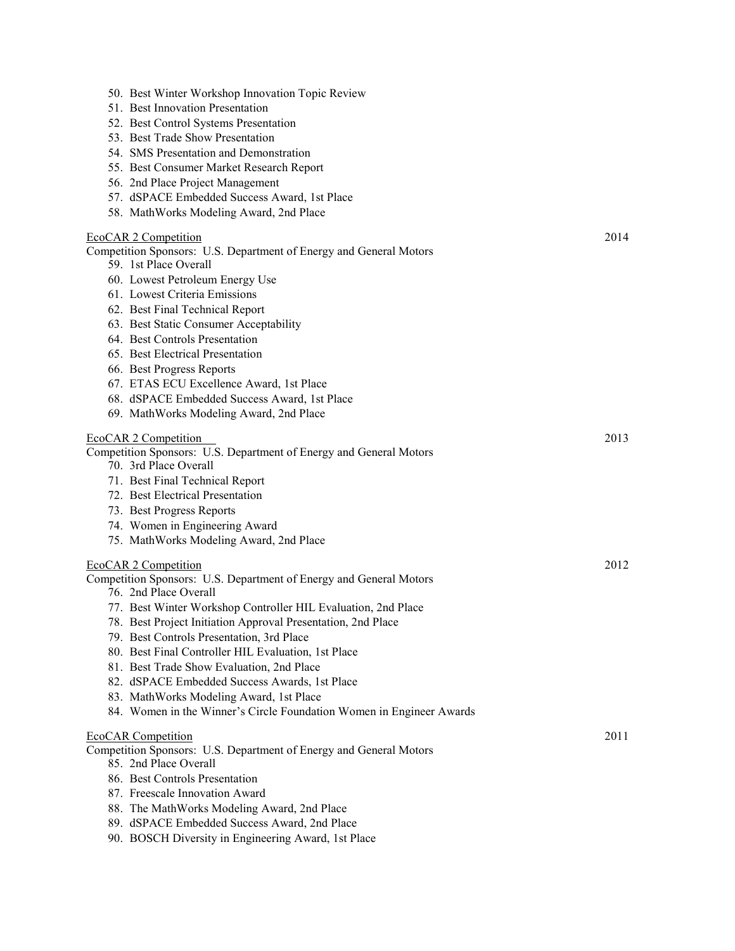| 50. Best Winter Workshop Innovation Topic Review                     |      |
|----------------------------------------------------------------------|------|
| 51. Best Innovation Presentation                                     |      |
| 52. Best Control Systems Presentation                                |      |
| 53. Best Trade Show Presentation                                     |      |
| 54. SMS Presentation and Demonstration                               |      |
| 55. Best Consumer Market Research Report                             |      |
| 56. 2nd Place Project Management                                     |      |
| 57. dSPACE Embedded Success Award, 1st Place                         |      |
| 58. MathWorks Modeling Award, 2nd Place                              |      |
| EcoCAR 2 Competition                                                 | 2014 |
| Competition Sponsors: U.S. Department of Energy and General Motors   |      |
| 59. 1st Place Overall                                                |      |
| 60. Lowest Petroleum Energy Use                                      |      |
| 61. Lowest Criteria Emissions                                        |      |
| 62. Best Final Technical Report                                      |      |
| 63. Best Static Consumer Acceptability                               |      |
| 64. Best Controls Presentation                                       |      |
| 65. Best Electrical Presentation                                     |      |
| 66. Best Progress Reports                                            |      |
| 67. ETAS ECU Excellence Award, 1st Place                             |      |
| 68. dSPACE Embedded Success Award, 1st Place                         |      |
| 69. MathWorks Modeling Award, 2nd Place                              |      |
| EcoCAR 2 Competition                                                 | 2013 |
| Competition Sponsors: U.S. Department of Energy and General Motors   |      |
| 70. 3rd Place Overall                                                |      |
| 71. Best Final Technical Report                                      |      |
| 72. Best Electrical Presentation                                     |      |
| 73. Best Progress Reports                                            |      |
| 74. Women in Engineering Award                                       |      |
| 75. MathWorks Modeling Award, 2nd Place                              |      |
| EcoCAR 2 Competition                                                 | 2012 |
| Competition Sponsors: U.S. Department of Energy and General Motors   |      |
| 76. 2nd Place Overall                                                |      |
| 77. Best Winter Workshop Controller HIL Evaluation, 2nd Place        |      |
| 78. Best Project Initiation Approval Presentation, 2nd Place         |      |
| 79. Best Controls Presentation, 3rd Place                            |      |
| 80. Best Final Controller HIL Evaluation, 1st Place                  |      |
| 81. Best Trade Show Evaluation, 2nd Place                            |      |
| 82. dSPACE Embedded Success Awards, 1st Place                        |      |
| 83. MathWorks Modeling Award, 1st Place                              |      |
| 84. Women in the Winner's Circle Foundation Women in Engineer Awards |      |
| <b>EcoCAR Competition</b>                                            | 2011 |
| Competition Sponsors: U.S. Department of Energy and General Motors   |      |
| 85. 2nd Place Overall                                                |      |
| 86. Best Controls Presentation                                       |      |
| 87. Freescale Innovation Award                                       |      |
| 88. The MathWorks Modeling Award, 2nd Place                          |      |
| 89. dSPACE Embedded Success Award, 2nd Place                         |      |
| 90. BOSCH Diversity in Engineering Award, 1st Place                  |      |